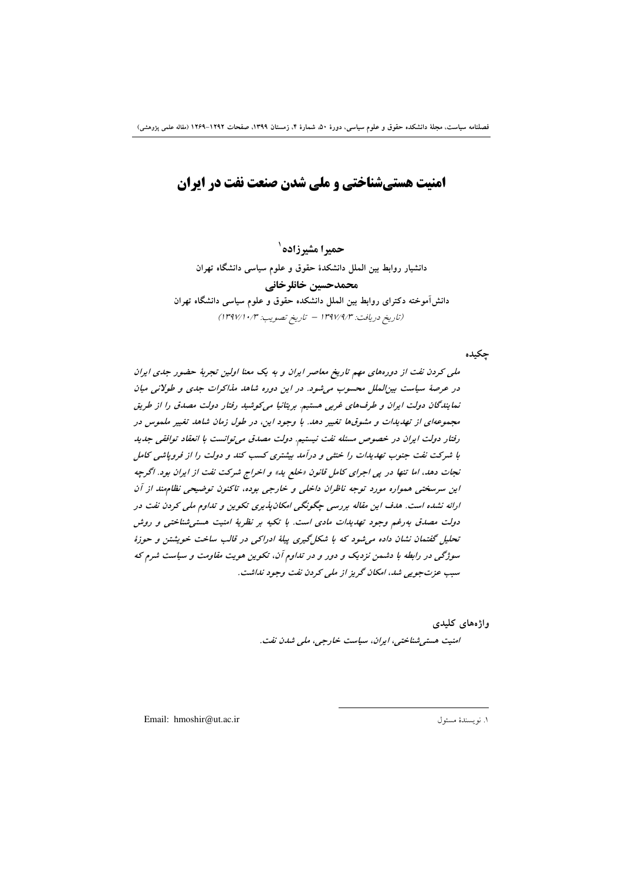**امنیت هستیشناختی و ملی شدن صنعت نفت در ایران** 

حمدا مشدزاده` دانشیار روابط بین الملل دانشکدهٔ حقوق و علوم سیاسی دانشگاه تهران محمدحسين خانلرخاني دانش آموخته دکترای روابط بین الملل دانشکده حقوق و علوم سیاسی دانشگاه تهران (تاريخ دريافت: ١٣٩٧/٩/٣ - تاريخ تصويب: ١٣٩٧/١٠/٣)

جكيده

ملی کردن نفت از دورههای مهم تاریخ معاصر ایران و به یک معنا اولین تجربهٔ حضور جدی ایران در عرصهٔ سیاست بین الملل محسوب می شود. در این دوره شاهد مذاکرات جدی و طولانی میان نمایندگان دولت ایران و طرف های غربی هستیم. بریتانیا میکوشید رفتار دولت مصدق را از طریق مجموعهای از تهدیدات و مشوقها تغییر دهد. با وجود این، در طول زمان شاهد تغییر ملموس در رفتار دولت ایران در خصوص مسئله نفت نیستیم. دولت مصدق می توانست با انعقاد توافقی جدید با شرکت نفت جنوب تهدیدات را خنثی و درآمد بیشتری کسب کند و دولت را از فرویاشی کامل نجات دهد، اما تنها در پی اجرای کامل قانون «خلع بد» و اخراج شرکت نفت از ایران بود. اگرچه این سرسختی همواره مورد توجه ناظران داخلی و خارجی بوده، تاکنون توضیحی نظام ند از آن ارائه نشده است. هدف این مقاله بررسی چگونگی امکان پذیری تکوین و تداوم ملی کردن نفت در دولت مصدق بهرغم وجود تهدیدات مادی است. با تکیه بر نظریهٔ امنیت هستی شناختی و روش تحلیل گفتمان نشان داده می شود که با شکل گیری پیلهٔ ادراکی در قالب ساخت خویشتن و حوزهٔ سوژگی در رابطه با دشمن نزدیک و دور و در تداوم آن، تکوین هویت مقاومت و سیاست شرم که سب عزت جو پی شد، امکان گریز از ملی کردن نفت وجود نداشت.

> واژەهای کلیدی امنیت هستی شناختبی، ایران، سیاست خارجی، ملبی شدن نفت.

Email: hmoshir@ut.ac.ir

١. نويسندة مسئول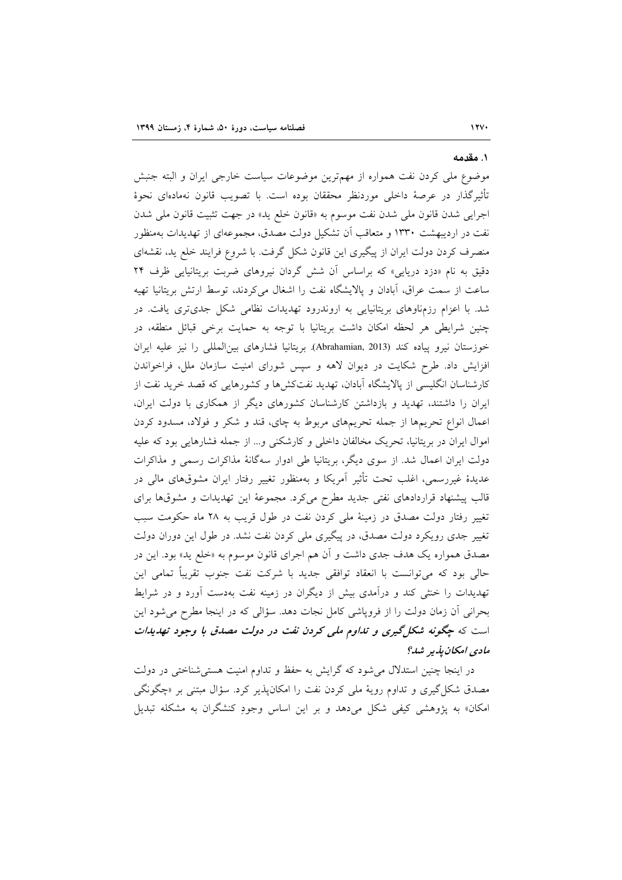#### ۱. مقدمه

موضوع ملي كردن نفت همواره از مهمترين موضوعات سياست خارجي ايران و البته جنبش تأثيرگذار در عرصهٔ داخلي موردنظر محققان بوده است. با تصويب قانون نهمادهاي نحوهٔ اجرايي شدن قانون ملي شدن نفت موسوم به «قانون خلع يد» در جهت تثبيت قانون ملي شدن نفت در اردیبهشت ۱۳۳۰ و متعاقب آن تشکیل دولت مصدق، مجموعهای از تهدیدات بهمنظور منصرف کردن دولت ایران از پیگیری این قانون شکل گرفت. با شروع فرایند خلع ید، نقشهای دقیق به نام «دزد دریایی» که براساس آن شش گردان نیروهای ضربت بریتانیایی ظرف ۲۴ ساعت از سمت عراق، أبادان و پالایشگاه نفت را اشغال میکردند، توسط ارتش بریتانیا تهیه شد. با اعزام رزمناوهای بریتانیایی به اروندرود تهدیدات نظامی شکل جدیتری یافت. در چنین شرایطی هر لحظه امکان داشت بریتانیا با توجه به حمایت برخی قبائل منطقه، در خوزستان نيرو پياده كند (Abrahamian, 2013). بريتانيا فشارهاى بين المللي را نيز عليه ايران افزایش داد. طرح شکایت در دیوان لاهه و سپس شورای امنیت سازمان ملل، فراخواندن کارشناسان انگلیسی از پالایشگاه آبادان، تهدید نفتکشها و کشورهایی که قصد خرید نفت از ایران را داشتند، تهدید و بازداشتن کارشناسان کشورهای دیگر از همکاری با دولت ایران، اعمال انواع تحریمها از جمله تحریمهای مربوط به چای، قند و شکر و فولاد، مسدود کردن اموال ايران در بريتانيا، تحريک مخالفان داخلي و کارشکني و... از جمله فشارهايي بود که عليه دولت ایران اعمال شد. از سوی دیگر، بریتانیا طی ادوار سهگانهٔ مذاکرات رسمی و مذاکرات عدیدهٔ غیررسمی، اغلب تحت تأثیر آمریکا و بهمنظور تغییر رفتار ایران مشوقهای مالی در قالب پیشنهاد قراردادهای نفتی جدید مطرح می کرد. مجموعهٔ این تهدیدات و مشوقها برای تغییر رفتار دولت مصدق در زمینهٔ ملی کردن نفت در طول قریب به ۲۸ ماه حکومت سبب تغییر جدی رویکرد دولت مصدق، در پیگیری ملی کردن نفت نشد. در طول این دوران دولت مصدق همواره یک هدف جدی داشت و آن هم اجرای قانون موسوم به «خلع ید» بود. این در حالی بود که میتوانست با انعقاد توافقی جدید با شرکت نفت جنوب تقریباً تمامی این تهدیدات را خنثی کند و درآمدی بیش از دیگران در زمینه نفت بهدست آورد و در شرایط بحرانی آن زمان دولت را از فروپاشی کامل نجات دهد. سؤالی که در اینجا مطرح می شود این است که چگ*ونه شکل گیری و تداوم ملی کردن نفت در دولت مصدق با وجود تهدیدات* مادى امكان بذير شد؟

در اینجا چنین استدلال می شود که گرایش به حفظ و تداوم امنیت هستی شناختی در دولت مصدق شکل گیری و تداوم رویهٔ ملی کردن نفت را امکانپذیر کرد. سؤال مبتنی بر «چگونگی امکان» به پژوهشی کیفی شکل میدهد و بر این اساس وجودِ کنشگران به مشکله تبدیل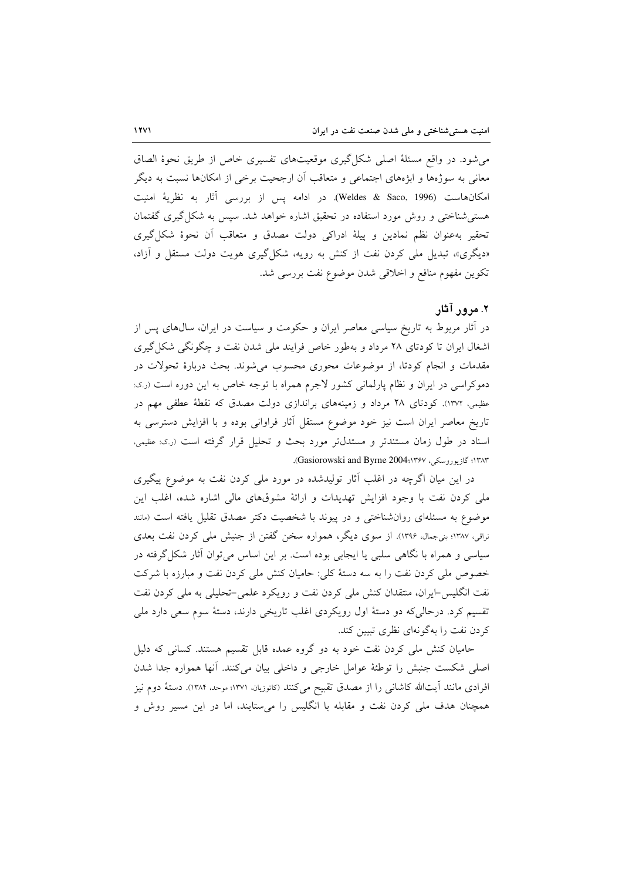می شود. در واقع مسئلهٔ اصلی شکل گیری موقعیتهای تفسیری خاص از طریق نحوهٔ الصاق معانی به سوژهها و ابژههای اجتماعی و متعاقب آن ارجحیت برخی از امکانها نسبت به دیگر امكانهاست (Weldes & Saco, 1996). در ادامه پس از بررسی آثار به نظریهٔ امنیت هستی شناختی و روش مورد استفاده در تحقیق اشاره خواهد شد. سپس به شکل گیری گفتمان تحقير بهعنوان نظم نمادين و پيلهٔ ادراكي دولت مصدق و متعاقب أن نحوهٔ شكل گيري «دیگری»، تبدیل ملی کردن نفت از کنش به رویه، شکل گیری هویت دولت مستقل و آزاد، تكوين مفهوم منافع و اخلاقي شدن موضوع نفت بررسي شد.

#### ۲. مرور آثار

در آثار مربوط به تاریخ سیاسی معاصر ایران و حکومت و سیاست در ایران، سال&ای پس از اشغال ایران تا کودتای ۲۸ مرداد و بهطور خاص فرایند ملی شدن نفت و چگونگی شکل گیری مقدمات و انجام کودتا، از موضوعات محوری محسوب می شوند. بحث دربارهٔ تحولات در دموکراسی در ایران و نظام پارلمانی کشور لاجرم همراه با توجه خاص به این دوره است (ر.ی: عظیمی، ۱۳۷۲). کودتای ۲۸ مرداد و زمینههای براندازی دولت مصدق که نقطهٔ عطفی مهم در تاریخ معاصر ایران است نیز خود موضوع مستقل أثار فراوانی بوده و با افزایش دسترسی به اسناد در طول زمان مستندتر و مستدلتر مورد بحث و تحلیل قرار گرفته است (ر.ی. عظیمی، ١٣٨٣؛ گازيوروسكي، Gasiorowski and Byrne 2004،١٣۶٧).

در این میان اگرچه در اغلب آثار تولیدشده در مورد ملی کردن نفت به موضوع پیگیری ملی کردن نفت با وجود افزایش تهدیدات و ارائهٔ مشوقهای مالی اشاره شده، اغلب این موضوع به مسئلهای روانشناختی و در پیوند با شخصیت دکتر مصدق تقلیل یافته است (مانند نراقی، ۱۳۸۷؛ بنیجمال، ۱۳۹۶). از سوی دیگر، همواره سخن گفتن از جنبش ملی کردن نفت بعدی سیاسی و همراه با نگاهی سلبی یا ایجابی بوده است. بر این اساس میتوان آثار شکل گرفته در خصوص ملی کردن نفت را به سه دستهٔ کلی: حامیان کنش ملی کردن نفت و مبارزه با شرکت نفت انگلیس-ایران، منتقدان کنش ملی کردن نفت و رویکرد علمی-تحلیلی به ملی کردن نفت تقسیم کرد. درحالی که دو دستهٔ اول رویکردی اغلب تاریخی دارند، دستهٔ سوم سعی دارد ملی کردن نفت را بهگونهای نظری تبیین کند.

حامیان کنش ملی کردن نفت خود به دو گروه عمده قابل تقسیم هستند. کسانی که دلیل اصلي شكست جنبش را توطئة عوامل خارجي و داخلي بيان مي كنند. أنها همواره جدا شدن افرادی مانند اّیتالله کاشانی را از مصدق تقبیح میکنند (کاتوریان، ۱۳۷۱؛ موحد، ۱۳۸۴). دستهٔ دوم نیز همچنان هدف ملی کردن نفت و مقابله با انگلیس را میستایند، اما در این مسیر روش و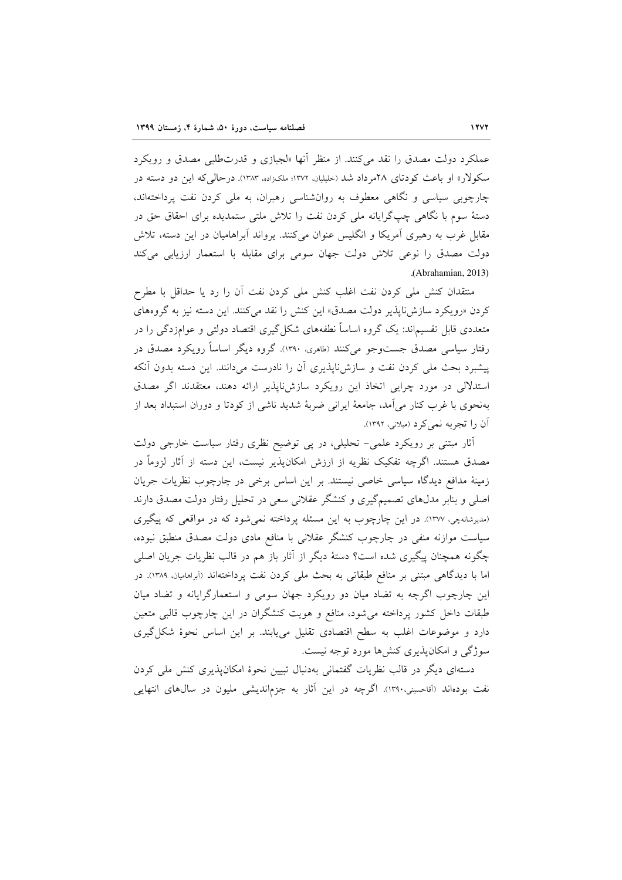عملکرد دولت مصدق را نقد می کنند. از منظر آنها «لجبازی و قدرتطلبی مصدق و رویکرد سکولار» او باعث کودتای ۲۸م داد شد (حلیلیان، ۱۳۷۲؛ ملکزاده، ۱۳۸۳). در حالی که این دو دسته در چارچوبی سیاسی و نگاهی معطوف به روانشناسی رهبران، به ملی کردن نفت پرداختهاند، دستهٔ سوم با نگاهی چپگرایانه ملی کردن نفت را تلاش ملتی ستمدیده برای احقاق حق در مقابل غرب به رهبری آمریکا و انگلیس عنوان می کنند. پرواند آبراهامیان در این دسته، تلاش دولت مصدق را نوعی تلاش دولت جهان سومی برای مقابله با استعمار ارزیابی میکند .(Abrahamian, 2013)

منتقدان كنش ملى كردن نفت اغلب كنش ملى كردن نفت أن را رد يا حداقل با مطرح کردن «رویکرد سازش ناپذیر دولت مصدق» این کنش را نقد میکنند. این دسته نیز به گروههای متعددی قابل تقسیم|ند: یک گروه اساساً نطفههای شکل گیری اقتصاد دولتی و عوامزدگی را در رفتار سیاسی مصدق جستوجو می کنند (طامری، ۱۳۹۰). گروه دیگر اساساً رویکرد مصدق در پیشبرد بحث ملی کردن نفت و سازشiاپذیری اَن را نادرست میدانند. این دسته بدون اَنکه استدلالی در مورد چرایی اتخاذ این رویکرد سازشiباذیر ارائه دهند، معتقدند اگر مصدق بهنحوی با غرب کنار می آمد، جامعهٔ ایرانی ضربهٔ شدید ناشی از کودتا و دوران استبداد بعد از آن را تجربه نمي كرد (ميلاني، ١٣٩٢).

أثار مبتنی بر رویکرد علمی- تحلیلی، در پی توضیح نظری رفتار سیاست خارجی دولت مصدق هستند. اگرچه تفکیک نظریه از ارزش امکانپذیر نیست، این دسته از آثار لزوماً در زمینهٔ مدافع دیدگاه سیاسی خاصی نیستند. بر این اساس برخی در چارچوب نظریات جریان اصلی و بنابر مدلهای تصمیمگیری و کنشگر عقلانی سعی در تحلیل رفتار دولت مصدق دارند (مدیرشانهچی، ۱۳۷۷). در این چارچوب به این مسئله پرداخته نمی شود که در مواقعی که پیگیری سیاست موازنه منفی در چارچوب کنشگر عقلانی با منافع مادی دولت مصدق منطبق نبوده، چگونه همچنان پیگیری شده است؟ دستهٔ دیگر از آثار باز هم در قالب نظریات جریان اصلی اما با دیدگاهی مبتنی بر منافع طبقاتی به بحث ملی کردن نفت پرداختهاند (أبراهامیان. ۱۳۸۹). در این چارچوب اگرچه به تضاد میان دو رویکرد جهان سومی و استعمارگرایانه و تضاد میان طبقات داخل کشور پرداخته می شود، منافع و هویت کنشگران در این چارچوب قالبی متعین دارد و موضوعات اغلب به سطح اقتصادی تقلیل می یابند. بر این اساس نحوهٔ شکل گیری سوژگی و امکان پذیری کنشها مورد توجه نیست.

دستهای دیگر در قالب نظریات گفتمانی بهدنبال تبیین نحوهٔ امکان پذیری کنش ملی کردن نفت بودهاند (آقاحسینی،۱۳۹۰). اگرچه در این آثار به جزماندیشی ملیون در سال0های انتهایی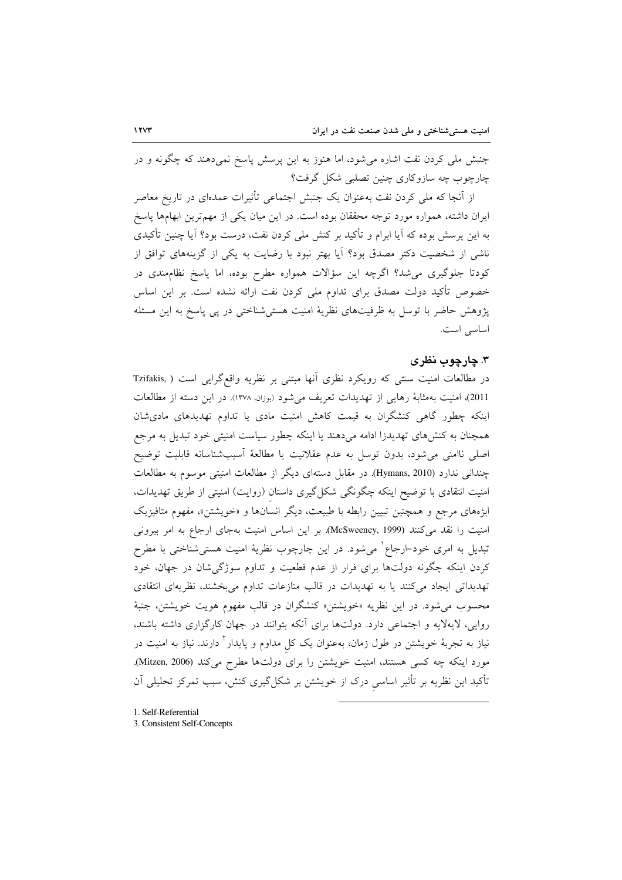جنبش ملی کردن نفت اشاره میشود، اما هنوز به این پرسش پاسخ نمیدهند که چگونه و در چارچوب چه سازوکاری چنین تصلبی شکل گرفت؟

از آنجا که ملی کردن نفت بهعنوان یک جنبش اجتماعی تأثیرات عمدهای در تاریخ معاصر ایران داشته، همواره مورد توجه محققان بوده است. در این میان یکی از مهمترین ابهامها پاسخ به این پرسش بوده که آیا ابرام و تأکید بر کنش ملی کردن نفت، درست بود؟ آیا چنین تأکیدی ناشی از شخصیت دکتر مصدق بود؟ آیا بهتر نبود با رضایت به یکی از گزینههای توافق از کودتا جلوگیری میشد؟ اگرچه این سؤالات همواره مطرح بوده، اما پاسخ نظامٖمندی در خصوص تأكيد دولت مصدق براي تداوم ملي كردن نفت ارائه نشده است. بر اين اساس پژوهش حاضر با توسل به ظرفیتهای نظریهٔ امنیت هستی شناختی در پی پاسخ به این مسئله اساسی است.

## ۳. چارچوب نظری

در مطالعات امنیت سنتی که رویکرد نظری آنها مبتنی بر نظریه واقع گرایی است ( .Tzifakis 2011)، امنیت بهمثابهٔ رهایی از تهدیدات تعریف می شود (بوزان، ۱۳۷۸). در این دسته از مطالعات اینکه چطور گاهی کنشگران به قیمت کاهش امنیت مادی یا تداوم تهدیدهای مادی شان همچنان به کنشهای تهدیدزا ادامه میدهند یا اینکه چطور سیاست امنیتی خود تبدیل به مرجع اصلی ناامنی می شود، بدون توسل به عدم عقلانیت یا مطالعهٔ آسیب شناسانه قابلیت توضیح چندانی ندارد (Hymans, 2010). در مقابل دستهای دیگر از مطالعات امنیتی موسوم به مطالعات امنیت انتقادی با توضیح اینکه چگونگی شکل2یری داستان (روایت) امنیتی از طریق تهدیدات، ابژههای مرجع و همچنین تبیین رابطه با طبیعت، دیگر انسانها و «خویشتن»، مفهوم متافیزیک امنیت را نقد می کنند (McSweeney, 1999). بر این اساس امنیت بهجای ارجاع به امر بیرونی تبدیل به امری خود–ارجاع` میشود. در این چارچوب نظریهٔ امنیت هستیشناختی با مطرح کردن اینکه چگونه دولتها برای فرار از عدم قطعیت و تداوم سوژگیشان در جهان، خود تهدیداتی ایجاد میکنند یا به تهدیدات در قالب منازعات تداوم میبخشند، نظریهای انتقادی محسوب می شود. در این نظریه «خویشتن» کنشگران در قالب مفهوم هویت خویشتن، جنبهٔ روایی، لایهلایه و اجتماعی دارد. دولتها برای آنکه بتوانند در جهان کارگزاری داشته باشند، نیاز به تجربهٔ خویشتن در طول زمان، بهعنوان یک کل مداوم و پایدار<sup>۲</sup> دارند. نیاز به امنیت در مورد اینکه چه کسی هستند، امنیت خویشتن را برای دولتها مطرح میکند (Mitzen, 2006). تأکید این نظریه بر تأثیر اساسی درک از خویشتن بر شکل گیری کنش، سبب تمرکز تحلیلی آن

1. Self-Referential

3. Consistent Self-Concepts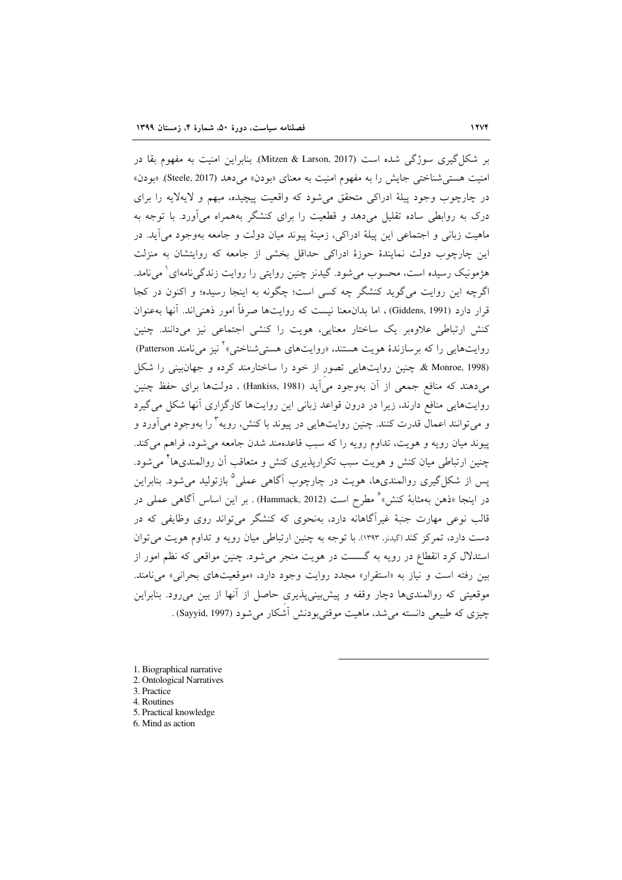بر شکل گیری سوژگی شده است (Mitzen & Larson, 2017). بنابراین امنیت به مفهوم بقا در امنیت هستی شناختی جایش را به مفهوم امنیت به معنای «بودن» می دهد (Steele, 2017). «بودن» در چارچوب وجود پیلهٔ ادراکی متحقق می شود که واقعیت پیچیده، مبهم و لایهلایه را برای درک به روابطی ساده تقلیل میدهد و قطعیت را برای کنشگر بههمراه میآورد. با توجه به ماهيت زباني و اجتماعي اين پيلهٔ ادراكي، زمينهٔ پيوند ميان دولت و جامعه بهوجود مي آيد. در این چارچوب دولت نمایندهٔ حوزهٔ ادراکی حداقل بخشی از جامعه که روایتشان به منزلت هژمونیک رسیده است، محسوب میشود. گیدنز چنین روایتی را روایت زندگی نامهای ٰ می نامد. اگرچه این روایت می گوید کنشگر چه کسی است؛ چگونه به اینجا رسیده؛ و اکنون در کجا قرار دارد (Giddens, 1991)، اما بدان.عنا نیست که روایتها صرفاً امور ذهنی اند. آنها بهعنوان کنش ارتباطی علاوویر یک ساختار معنایی، هویت را کنشی اجتماعی نیز می۱دانند. چنین روایتهایی را که برسازندهٔ هویت هستند، «روایتهای هستی شناختی» کنیز می نامند Patterson) & Monroe, 1998. چنین روایتهایی تصور از خود را ساختارمند کرده و جهان بینی را شکل میدهند که منافع جمعی از آن بهوجود میآید (Hankiss, 1981) . دولتها برای حفظ چنین روایتهایی منافع دارند، زیرا در درون قواعد زبانی این روایتها کارگزاری آنها شکل می گیرد و می توانند اعمال قدرت کنند. چنین روایتهایی در پیوند با کنش، رویه ٌ را بهوجود می آورد و پیوند میان رویه و هویت، تداوم رویه را که سبب قاعدهمند شدن جامعه می شود، فراهم می کند. چنین ارتباطی میان کنش و هویت سبب تکرارپذیری کنش و متعاقب آن روالمندیها<sup>۴</sup> میشود. یس از شکل گیری روالمندیها، هویت در چارچوب آگاهی عملی<sup>0</sup> بازتولید می شود. بنابراین در اینجا «ذهن بهمثابهٔ کنش»<sup>۶</sup> مطرح است (Hammack, 2012) . بر این اساس آگاهی عملی در قالب نوعی مهارت جنبهٔ غیرآگاهانه دارد، بهنحوی که کنشگر می تواند روی وظایفی که در دست دارد، تمرکز کند (گیدنز، ۱۳۹۳). با توجه به چنین ارتباطی میان رویه و تداوم هویت می توان استدلال کرد انقطاع در رویه به گسست در هویت منجر می شود. چنین مواقعی که نظم امور از بین رفته است و نیاز به «استقرار» مجدد روایت وجود دارد، «موقعیتهای بحرانی» می نامند. موقعیتی که روالمندیها دچار وقفه و پیش بینی پذیری حاصل از آنها از بین می رود. بنابراین چیزی که طبیعی دانسته می شد، ماهیت موقتی بودنش آشکار می شود (Sayyid, 1997) .

- 1. Biographical narrative 2. Ontological Narratives 3. Practice
- 4. Routines
- 5. Practical knowledge
- 6. Mind as action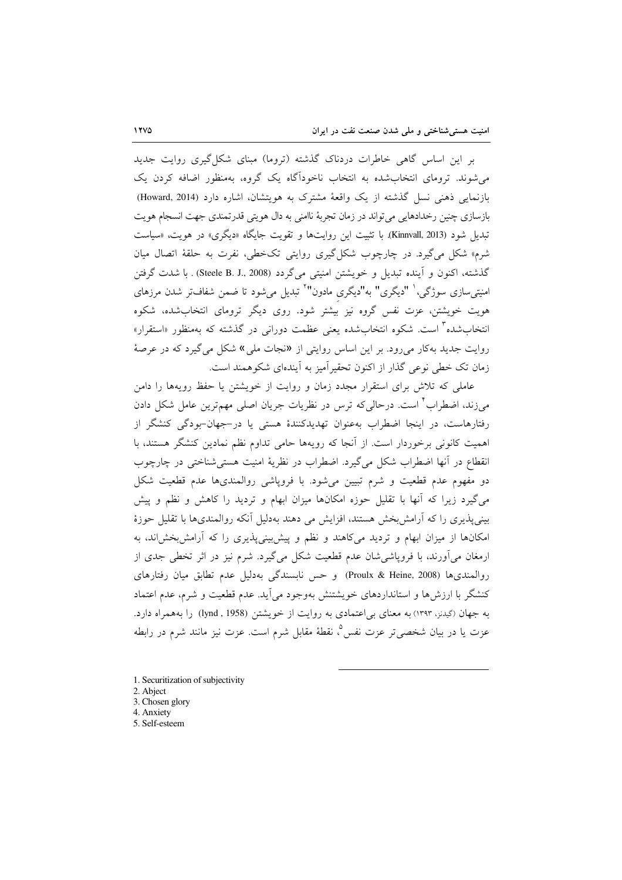بر این اساس گاهی خاطرات دردناک گذشته (تروما) مبنای شکل گیری روایت جدید می شوند. ترومای انتخاب شده به انتخاب ناخودآگاه یک گروه، بهمنظور اضافه کردن یک بازنمایی ذهنی نسل گذشته از یک واقعهٔ مشترک به هویتشان، اشاره دارد (Howard, 2014) بازسازي چنين رخدادهايي مي تواند در زمان تجربهٔ ناامني به دال هويتي قدرتمندي جهت انسجام هويت تبدیل شود (Kinnvall, 2013). با تثبیت این روایتها و تقویت جایگاه «دیگری» در هویت، «سیاست شرم» شکل میگیرد. در چارچوب شکل گیری روایتی تکخطی، نفرت به حلقهٔ اتصال میان گذشته، اكنون و آينده تبديل و خويشتن امنيتي مي گردد (Steele B. J., 2008) . با شدت گرفتن امنیتیسازی سوژگی،<sup>۱</sup> "دیگری" به"دیگری مادون"<sup>۲</sup> تبدیل میشود تا ضمن شفافتر شدن مرزهای هویت خویشتن، عزت نفس گروه نیز بیشتر شود. روی دیگر ترومای انتخابشده، شکوه انتخابشده<sup>۳</sup> است. شکوه انتخابشده یعنی عظمت دورانی در گذشته که بهمنظور «استقرار» روایت جدید بهکار می رود. بر این اساس روایتی از «نجات ملی» شکل می گیرد که در عرصهٔ زمان تک خطی نوعی گذار از اکنون تحقیر آمیز به آیندهای شکوهمند است.

عاملی که تلاش برای استقرار مجدد زمان و روایت از خویشتن یا حفظ رویهها را دامن می;زند، اضطراب ٌ است. درحالی که ترس در نظریات جریان اصلی مهمترین عامل شکل دادن رفتارهاست، در اینجا اضطراب بهعنوان تهدیدکنندهٔ هستی یا در-جهان-بودگی کنشگر از اهمیت کانونی برخوردار است. از آنجا که رویهها حامی تداوم نظم نمادین کنشگر هستند، با انقطاع در آنها اضطراب شکل می گیرد. اضطراب در نظریهٔ امنیت هستی شناختی در چارچوب دو مفهوم عدم قطعیت و شرم تبیین میشود. با فروپاشی روالمندیها عدم قطعیت شکل می گیرد زیرا که آنها با تقلیل حوزه امکانها میزان ابهام و تردید را کاهش و نظم و پیش بینیپذیری را که آرامش بخش هستند، افزایش می دهند بهدلیل آنکه روالمندیها با تقلیل حوزهٔ امکانها از میزان ابهام و تردید میکاهند و نظم و پیش بینیپذیری را که آرامش بخش اند، به ارمغان میآورند، با فروپاشی شان عدم قطعیت شکل میگیرد. شرم نیز در اثر تخطی جدی از روالمندىها (Proulx & Heine, 2008) وحس نابسندگى بهدليل عدم تطابق ميان رفتارهاى کنشگر با ارزش ها و استانداردهای خویشتنش بهوجود می آید. عدم قطعیت و شرم، عدم اعتماد به جهان (گیدنز، ۱۳۹۳) به معنای بی اعتمادی به روایت از خویشتن (1958 , lynd) را بههمراه دارد. عزت یا در بیان شخصی تر عزت نفس ؓ، نقطهٔ مقابل شرم است. عزت نیز مانند شرم در رابطه

- 1. Securitization of subjectivity
- 2. Abject
- 3. Chosen glory
- 4. Anxiety
- 5. Self-esteem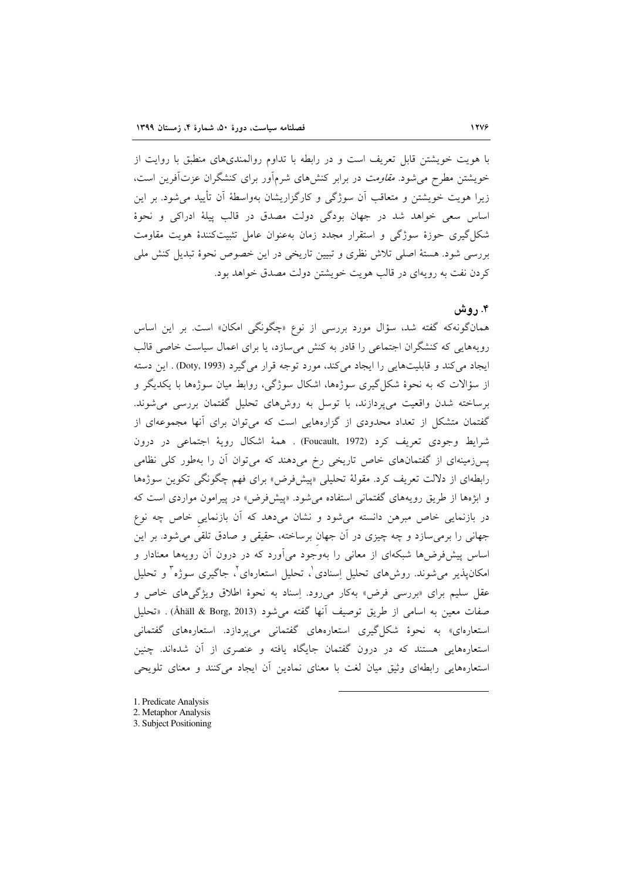با هویت خویشتن قابل تعریف است و در رابطه با تداوم روالمندیهای منطبق با روایت از خویشتن مطرح می شود. *مقاومت* در برابر کنش های شرمآور برای کنشگران عزتآفرین است، زیرا هویت خویشتن و متعاقب آن سوژگی و کارگزاریشان بهواسطهٔ آن تأیید می شود. بر این اساس سعی خواهد شد در جهان بودگی دولت مصدق در قالب پیلهٔ ادراکی و نحوهٔ شکل گیری حوزهٔ سوژگی و استقرار مجدد زمان بهعنوان عامل تثبیتکنندهٔ هویت مقاومت بررسی شود. هستهٔ اصلی تلاش نظری و تبیین تاریخی در این خصوص نحوهٔ تبدیل کنش ملی کردن نفت به رویهای در قالب هویت خویشتن دولت مصدق خواهد بود.

#### ۴. روش

همانگونهکه گفته شد، سؤال مورد بررسی از نوع «چگونگی امکان» است. بر این اساس رویههایی که کنشگران اجتماعی را قادر به کنش میسازد، یا برای اعمال سیاست خاصی قالب ايجاد مي كند و قابليتهايي را ايجاد مي كند، مورد توجه قرار مي گيرد (Doty, 1993) . اين دسته از سؤالات که به نحوهٔ شکل گیری سوژهها، اشکال سوژگی، روابط میان سوژهها با یکدیگر و برساخته شدن واقعیت میپردازند، با توسل به روشهای تحلیل گفتمان بررسی میشوند. گفتمان متشکل از تعداد محدودی از گزارههایی است که میتوان برای آنها مجموعهای از شرايط وجودي تعريف كرد (Foucault, 1972) . همهٔ اشكال رويهٔ اجتماعي در درون پسزمینهای از گفتمانهای خاص تاریخی رخ میدهند که میتوان آن را بهطور کلی نظامی رابطهای از دلالت تعریف کرد. مقولهٔ تحلیلی «پیشفرض» برای فهم چگونگی تکوین سوژهها و ابژهها از طریق رویههای گفتمانی استفاده می شود. «پیشفرض» در پیرامون مواردی است که در بازنمایی خاص مبرهن دانسته میشود و نشان میدهد که آن بازنمایی خاص چه نوع جهانی را برمی سازد و چه چیزی در آن جهان برساخته، حقیقی و صادق تلقی می شود. بر این اساس پیشفررضها شبکهای از معانی را بهوجود میآورد که در درون آن رویهها معنادار و امکانپذیر میشوند. روش۵ای تحلیل اِسنادی`، تحلیل استعارهای`، جاگیری سوژه<sup>۳</sup> و تحلیل عقل سلیم برای «بررسی فرض» بهکار میرود. اِسناد به نحوهٔ اطلاق ویژگیهای خاص و صفات معين به اسامي از طريق توصيف أنها گفته مي شود (Åhäll & Borg, 2013) . «تحليل استعارهای» به نحوهٔ شکلگیری استعارههای گفتمانی میپردازد. استعارههای گفتمانی استعارههایی هستند که در درون گفتمان جایگاه یافته و عنصری از آن شدهاند. چنین استعارههایی رابطهای وثیق میان لغت با معنای نمادین آن ایجاد میکنند و معنای تلویحی

- 1. Predicate Analysis
- 2. Metaphor Analysis
- 3. Subject Positioning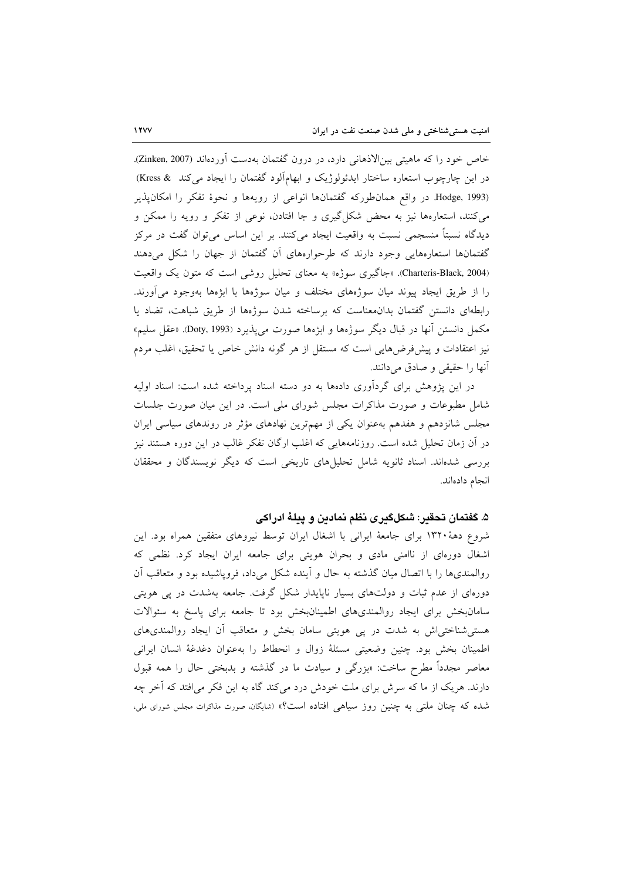خاص خود را كه ماهيتي بين الاذهاني دارد، در درون گفتمان بهدست آوردهاند (Zinken, 2007). در این چارچوب استعاره ساختار ایدئولوژیک و ابهامآلود گفتمان را ایجاد می کند & Kress) Hodge, 1993. در واقع همان طوركه گفتمانها انواعي از رويهها و نحوهٔ تفكر را امكانپذير می کنند، استعارهها نیز به محض شکل گیری و جا افتادن، نوعی از تفکر و رویه را ممکن و دیدگاه نسبتاً منسجمی نسبت به واقعیت ایجاد میکنند. بر این اساس میٍتوان گفت در مرکز گفتمانها استعارههایی وجود دارند که طرحوارههای آن گفتمان از جهان را شکل میدهند (Charteris-Black, 2004). «جاگیری سوژه» به معنای تحلیل روشی است که متون یک واقعیت را از طریق ایجاد پیوند میان سوژههای مختلف و میان سوژهها با ابژهها بهوجود می آورند. رابطهای دانستن گفتمان بدانمعناست که برساخته شدن سوژهها از طریق شباهت، تضاد یا مكمل دانستن أنها در قبال ديگر سوژهها و ابژهها صورت مي يذيرد (Doty, 1993). «عقل سليم» نیز اعتقادات و پیشفرضهایی است که مستقل از هر گونه دانش خاص یا تحقیق، اغلب مردم آنها را حقیقی و صادق می دانند.

در این پژوهش برای گردآوری دادهها به دو دسته اسناد پرداخته شده است: اسناد اولیه شامل مطبوعات و صورت مذاکرات مجلس شورای ملی است. در این میان صورت جلسات مجلس شانزدهم و هفدهم بهعنوان یکی از مهمترین نهادهای مؤثر در روندهای سیاسی ایران در آن زمان تحلیل شده است. روزنامههایی که اغلب ارگان تفکر غالب در این دوره هستند نیز بررسی شدهاند. اسناد ثانویه شامل تحلیلهای تاریخی است که دیگر نویسندگان و محققان انجام دادهاند.

۵. گفتمان تحقير: شكلگيري نظم نمادين و پيلهٔ ادراكي

شروع دههٔ ۱۳۲۰ برای جامعهٔ ایرانی با اشغال ایران توسط نیروهای متفقین همراه بود. این اشغال دورهای از ناامنی مادی و بحران هویتی برای جامعه ایران ایجاد کرد. نظمی که روالمندیها را با اتصال میان گذشته به حال و اَینده شکل میداد، فروپاشیده بود و متعاقب اَن دورهای از عدم ثبات و دولتهای بسیار ناپایدار شکل گرفت. جامعه بهشدت در پی هویتی سامان بخش برای ایجاد روالمندیهای اطمینان بخش بود تا جامعه برای پاسخ به سئوالات هستی شناختیاش به شدت در پی هویتی سامان بخش و متعاقب أن ایجاد روالمندیهای اطمينان بخش بود. چنين وضعيتي مسئلة زوال و انحطاط را بهعنوان دغدغة انسان ايراني معاصر مجدداً مطرح ساخت: «بزرگی و سیادت ما در گذشته و بدبختی حال را همه قبول دارند. هریک از ما که سرش برای ملت خودش درد میکند گاه به این فکر می افتد که آخر چه شده که چنان ملتی به چنین روز سیاهی افتاده است؟» (شایگان، صورت مذاکرات مجلس شورای ملی،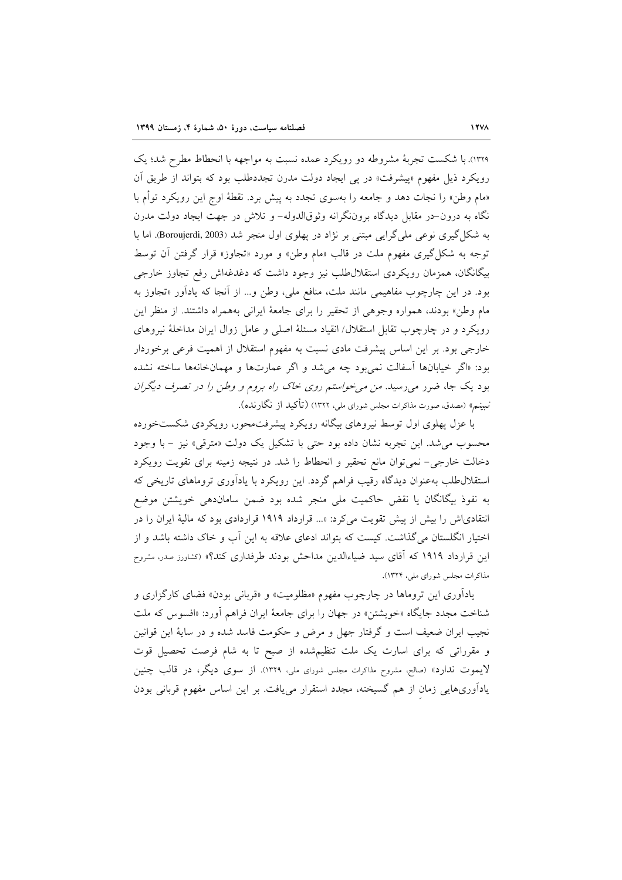١٣٢٩). با شكست تجربهٔ مشروطه دو رويكرد عمده نسبت به مواجهه با انحطاط مطرح شد؛ يك رویکرد ذیل مفهوم «پیشرفت» در پی ایجاد دولت مدرن تجددطلب بود که بتواند از طریق اَن «مام وطن» را نجات دهد و جامعه را بهسوی تجدد به پیش برد. نقطهٔ اوج این رویکرد توأم با نگاه به درون-در مقابل دیدگاه بروننگرانه وثوقالدوله- و تلاش در جهت ایجاد دولت مدرن به شکل گیری نوعی ملی گرایی مبتنی بر نژاد در پهلوی اول منجر شد (Boroujerdi, 2003). اما با توجه به شکل گیری مفهوم ملت در قالب «مام وطن» و مورد «تجاوز» قرار گرفتن آن توسط بیگانگان، همزمان رویکردی استقلال طلب نیز وجود داشت که دغدغهاش رفع تجاوز خارجی بود. در این چارچوب مفاهیمی مانند ملت، منافع ملی، وطن و... از آنجا که یادآور «تجاوز به مام وطن» بودند، همواره وجوهی از تحقیر را برای جامعهٔ ایرانی بههمراه داشتند. از منظر این رویکرد و در چارچوب تقابل استقلال/ انقیاد مسئلهٔ اصلی و عامل زوال ایران مداخلهٔ نیروهای خارجی بود. بر این اساس پیشرفت مادی نسبت به مفهوم استقلال از اهمیت فرعی برخوردار بود: «اگر خیابانها آسفالت نمی بود چه می شد و اگر عمارتها و مهمانخانهها ساخته نشده بود یک جا، ضرر می رسید. *من می خواستم روی خاک راه بروم و وطن را در تصرف دیگران* نبینم» (مصدق، صورت مذاکرات مجلس شورای ملی، ۱۳۲۲) (تأکید از نگارنده).

با عزل پهلوی اول توسط نیروهای بیگانه رویکرد پیشرفت.حور، رویکردی شکستخورده محسوب مي شد. اين تجربه نشان داده بود حتى با تشكيل يك دولت «مترقى» نيز - با وجود دخالت خارجی- نمی توان مانع تحقیر و انحطاط را شد. در نتیجه زمینه برای تقویت رویکرد استقلال طلب به عنوان دیدگاه رقیب فراهم گردد. این رویکرد با یادآوری تروماهای تاریخی که به نفوذ بیگانگان یا نقض حاکمیت ملی منجر شده بود ضمن ساماندهی خویشتن موضع انتقادیاش را بیش از پیش تقویت میکرد: «... قرارداد ۱۹۱۹ قراردادی بود که مالیهٔ ایران را در اختیار انگلستان میگذاشت. کیست که بتواند ادعای علاقه به این آب و خاک داشته باشد و از این قرارداد ۱۹۱۹ که آقای سید ضیاءالدین مداحش بودند طرفداری کند؟» (کشاورز صدر، مشروح مذاکرات مجلس شورای ملی، ۱۳۲۴).

یادآوری این تروماها در چارچوب مفهوم «مظلومیت» و «قربانی بودن» فضای کارگزاری و شناخت مجدد جایگاه «خویشتن» در جهان را برای جامعهٔ ایران فراهم آورد: «افسوس که ملت نجیب ایران ضعیف است و گرفتار جهل و مرض و حکومت فاسد شده و در سایهٔ این قوانین و مقرراتی که برای اسارت یک ملت تنظیم شده از صبح تا به شام فرصت تحصیل قوت لایموت ندارد» (صالح، مشروح مذاکرات مجلس شورای ملی، ۱۳۲۹). از سوی دیگر، در قالب چنین یادأوریهایی زمان از هم گسیخته، مجدد استقرار مییافت. بر این اساس مفهوم قربانی بودن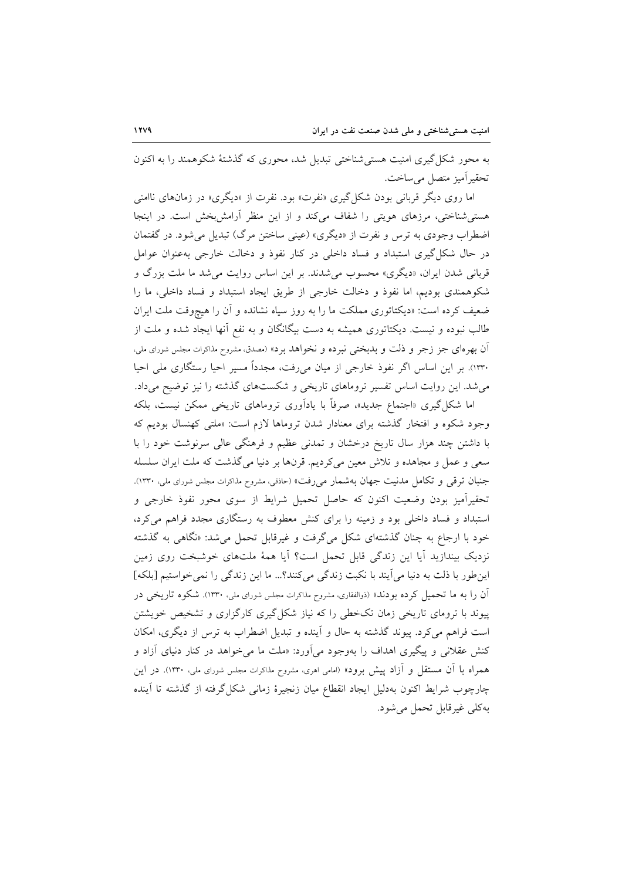به محور شکل گیری امنیت هسته شناختی تبدیل شد، محوری که گذشتهٔ شکوهمند را به اکنون تحقير آميز متصل مي ساخت.

اما روی دیگر قربانی بودن شکل گیری «نفرت» بود. نفرت از «دیگری» در زمانهای ناامنی هستی شناختی، مرزهای هویتی را شفاف میکند و از این منظر آرامش بخش است. در اینجا اضطراب وجودی به ترس و نفرت از «دیگری» (عینی ساختن مرگ) تبدیل می شود. در گفتمان در حال شکل گیری استبداد و فساد داخلی در کنار نفوذ و دخالت خارجی به عنوان عوامل قربانی شدن ایران، «دیگری» محسوب می شدند. بر این اساس روایت می شد ما ملت بزرگ و شکوهمندی بودیم، اما نفوذ و دخالت خارجی از طریق ایجاد استبداد و فساد داخلی، ما را ضعیف کرده است: «دیکتاتوری مملکت ما را به روز سیاه نشانده و آن را هیچوقت ملت ایران طالب نبوده و نیست. دیکتاتوری همیشه به دست بیگانگان و به نفع آنها ایجاد شده و ملت از اّن بهر مای جز زجر و ذلت و بدبختی نبرده و نخواهد برد» (مصدق، مشروح مذاکرات مجلس شورای ملی، ۱۳۳۰). بر این اساس اگر نفوذ خارجی از میان میروفت، مجدداً مسیر احیا رستگاری ملی احیا می شد. این روایت اساس تفسیر تروماهای تاریخی و شکستهای گذشته را نیز توضیح میداد.

اما شکل گیری «اجتماع جدید»، صرفاً با یادآوری تروماهای تاریخی ممکن نیست، بلکه وجود شکوه و افتخار گذشته برای معنادار شدن تروماها لازم است: «ملت<sub>ی</sub> کهنسال بودیم که با داشتن چند هزار سال تاریخ درخشان و تمدنی عظیم و فرهنگی عالی سرنوشت خود را با سعی و عمل و مجاهده و تلاش معین میکردیم. قرنها بر دنیا میگذشت که ملت ایران سلسله جنبان ترقی و تکامل مدنیت جهان بهشمار میرفت» (حاذقی، مشروح مذاکرات مجلس شورای ملی، ۱۳۳۰). تحقیرآمیز بودن وضعیت اکنون که حاصل تحمیل شرایط از سوی محور نفوذ خارجی و استبداد و فساد داخلی بود و زمینه را برای کنش معطوف به رستگاری مجدد فراهم میکرد، خود با ارجاع به چنان گذشتهای شکل میگرفت و غیرقابل تحمل می شد: «نگاهی به گذشته نزدیک بیندازید آیا این زندگی قابل تحمل است؟ آیا همهٔ ملتهای خوشبخت روی زمین این طور با ذلت به دنیا می آیند با نکبت زندگی میکنند؟... ما این زندگی را نمی خواستیم [بلکه] آن را به ما تحمیل کرده بودند» (ذوالفقاری، مشروح مذاکرات مجلس شورای ملی، ۱۳۳۰). شکوه تاریخی در پیوند با ترومای تاریخی زمان تکخطی را که نیاز شکل گیری کارگزاری و تشخیص خویشتن است فراهم می کرد. پیوند گذشته به حال و آینده و تبدیل اضطراب به ترس از دیگری، امکان کنش عقلانی و پیگیری اهداف را بهوجود میآورد: «ملت ما میخواهد در کنار دنیای آزاد و همراه با آن مستقل و آزاد پیش برود» (امامی اهری، مشروح مذاکرات مجلس شورای ملی، ۱۳۳۰). در این چارچوب شرایط اکنون بهدلیل ایجاد انقطاع میان زنجیرهٔ زمانی شکل گرفته از گذشته تا آینده به كلي غيرقابل تحمل مي شود.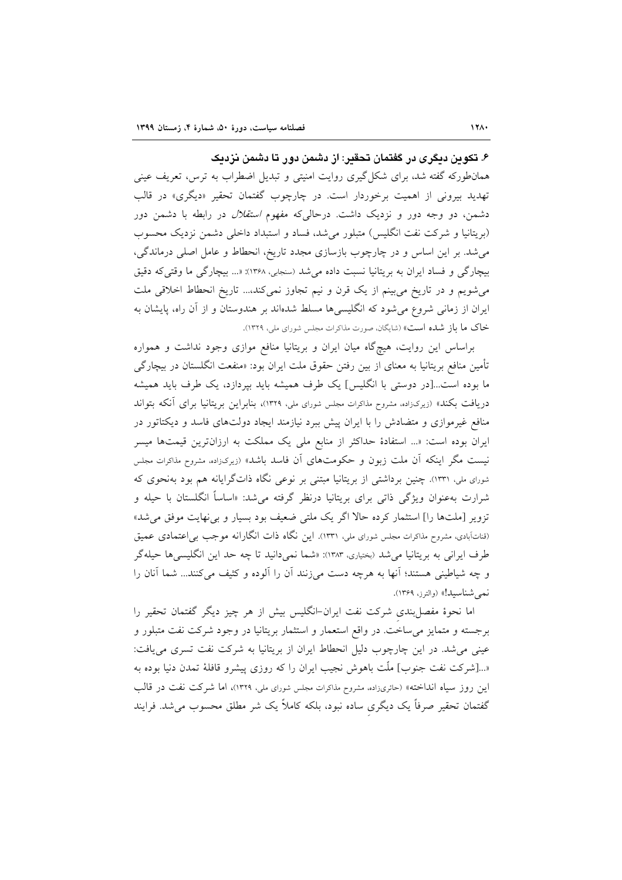۶. تکوین دیگری در گفتمان تحقیر: از دشمن دور تا دشمن نزدیک

همانطورکه گفته شد، برای شکل گیری روایت امنیتی و تبدیل اضطراب به ترس، تعریف عینی تهدید بیرونی از اهمیت برخوردار است. در چارچوب گفتمان تحقیر «دیگری» در قالب دشمن، دو وجه دور و نزدیک داشت. درحالی که مفهوم *استقلال* در رابطه با دشمن دور (بریتانیا و شرکت نفت انگلیس) متبلور می شد، فساد و استبداد داخلی دشمن نزدیک محسوب می شد. بر این اساس و در چارچوب بازسازی مجدد تاریخ، انحطاط و عامل اصلی درماندگی، بیچارگی و فساد ایران به بریتانیا نسبت داده می شد (سنجابی، ۱۳۶۸): «... بیچارگی ما وقتی که دقیق می شویم و در تاریخ می بینم از یک قرن و نیم تجاوز نمی کند،... تاریخ انحطاط اخلاقی ملت ایران از زمانی شروع می شود که انگلیسیها مسلط شدهاند بر هندوستان و از آن راه، پایشان به خاک ما باز شده است» (شایگان، صورت مذاکرات مجلس شورای ملی، ۱۳۲۹).

براساس این روایت، هیچگاه میان ایران و بریتانیا منافع موازی وجود نداشت و همواره تأمین منافع بریتانیا به معنای از بین رفتن حقوق ملت ایران بود: «منفعت انگلستان در بیچارگ<sub>ه ،</sub> ما بوده است...[در دوستی با انگلیس] یک طرف همیشه باید بپردازد، یک طرف باید همیشه دریافت بکند» (زیرک(اده، مشروح مذاکرات مجلس شورای ملی، ۱۳۲۹)، بنابراین بریتانیا برای آنکه بتواند منافع غیرموازی و متضادش را با ایران پیش ببرد نیازمند ایجاد دولتهای فاسد و دیکتاتور در ایران بوده است: «... استفادهٔ حداکثر از منابع ملی یک مملکت به ارزانترین قیمتها میسر نیست مگر اینکه آن ملت زبون و حکومتهای آن فاسد باشد» (زیرکزاده، مشروح مذاکرات مجلس شورای ملی، ۱۳۳۱). چنین برداشتی از بریتانیا مبتنی بر نوعی نگاه ذاتگرایانه هم بود بهنحوی که شرارت بهعنوان ویژگی ذاتی برای بریتانیا درنظر گرفته می شد: «اساساً انگلستان با حیله و تزویر [ملتها را] استثمار کرده حالاً اگر یک ملتی ضعیف بود بسیار و بی نهایت موفق می شد» (قناتآبادی، مشروح مذاکرات مجلس شورای ملی، ۱۳۳۱). این نگاه ذات انگارانه موجب بی اعتمادی عمیق طرف ايراني به بريتانيا مي شد (بختياري، ١٣٨٣): «شما نمي دانيد تا چه حد اين انگليسي ها حيله گر و چه شیاطینی هستند؛ آنها به هرچه دست میزنند آن را آلوده و کثیف می کنند... شما آنان را نمي شناسيد!» (والترز، ١٣۶٩).

اما نحوهٔ مفصل بندی شرکت نفت ایران-انگلیس بیش از هر چیز دیگر گفتمان تحقیر را برجسته و متمایز میٍساخت در واقع استعمار و استثمار بریتانیا در وجود شرکت نفت متبلور و عینی می شد. در این چارچوب دلیل انحطاط ایران از بریتانیا به شرکت نفت تسری می یافت: «…[شركت نفت جنوب] ملّت باهوش نجيب ايران را كه روزي پيشرو قافلهٔ تمدن دنيا بوده به این روز سیاه انداخته» (حائری;اده، مشروح مذاکرات مجلس شورای ملی، ۱۳۲۹)، اما شرکت نفت در قالب گفتمان تحقیر صرفاً یک دیگری ساده نبود، بلکه کاملاً یک شر مطلق محسوب میشد. فرایند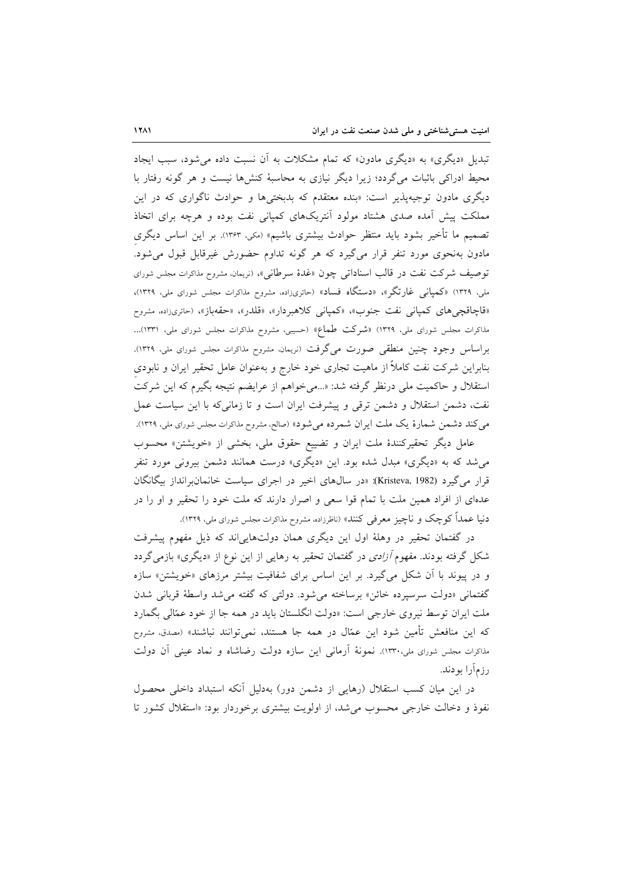تبدیل «دیگری» به «دیگری مادون» که تمام مشکلات به اَن نسبت داده می شود، سبب ایجاد محیط ادراکی باثبات می گردد؛ زیرا دیگر نیازی به محاسبهٔ کنش ها نیست و هر گونه رفتار با دیگری مادون توجیهپذیر است: «بنده معتقدم که بدبختیها و حوادث ناگواری که در این مملکت پیش آمده صدی هشتاد مولود آنتریکهای کمپانی نفت بوده و هرچه برای اتخاذ تصميم ما تأخير بشود بايد منتظر حوادث بيشتري باشيم» (مكي، ١٣۶٣). بر اين اساس ديگري مادون بهنحوی مورد تنفر قرار میگیرد که هر گونه تداوم حضورش غیرقابل قبول می شود. توصيف شركت نفت در قالب اسناداتى چون «غدهٔ سرطانى»، (نريمان، مشروح مذاكرات مجلس شوراى ملی، ۱۳۲۹) «کمپانی غارتگر»، «دستگاه فساد» (حائریزاده، مشروح مذاکرات مجلس شورای ملی، ۱۳۲۹)، «قاچاقچیهای کمپانی نفت جنوب»، «کمپانی کلاهبردار»، «قلدر»، «حقهباز»، (حائریناده، مشروح .<br>مذاکرات مجلس شورای ملی، ۱۳۲۹) «شرکت طماع» (حسیبی، مشروح مذاکرات مجلس شورای ملی، ۱۳۳۱)... براساس وجود چنین منطقی صورت میگرفت (نریمان، مشروح مذاکرات مجلس شورای ملی، ۱۳۲۹). بنابراین شرکت نفت کاملاً از ماهیت تجاری خود خارج و بهعنوان عامل تحقیر ایران و نابودی استقلال و حاکمیت ملی درنظر گرفته شد: «...می خواهم از عرایضم نتیجه بگیرم که این شرکت نفت، دشمن استقلال و دشمن ترقی و پیشرفت ایران است و تا زمانی که با این سیاست عمل می کند دشمن شمارهٔ یک ملت ایران شمرده می شود» (صالح، مشروح مذاکرات مجلس شورای ملی، ۱۳۲۹). عامل دیگر تحقیرکنندهٔ ملت ایران و تضییع حقوق ملی، بخشی از «خویشتن» محسوب

می شد که به «دیگری» مبدل شده بود. این «دیگری» درست همانند دشمن بیرونی مورد تنفر قرار می گیرد (Kristeva, 1982): «در سالهای اخیر در اجرای سیاست خانمانبرانداز بیگانگان عدهای از افراد همین ملت با تمام قوا سعی و اصرار دارند که ملت خود را تحقیر و او را در دنیا عمداً کوچک و ناچیز معرفی کنند» (ناظرزاده، مشروح مذاکرات مجلس شورای ملی، ۱۳۲۹).

در گفتمان تحقیر در وهلهٔ اول این دیگری همان دولتهاییاند که ذیل مفهوم پیشرفت شکل گرفته بودند. مفهوم *آزادی* در گفتمان تحقیر به رهایی از این نوع از «دیگری» بازمی گردد و در پیوند با أن شکل میگیرد. بر این اساس برای شفافیت بیشتر مرزهای «خویشتن» سازه گفتمانی «دولت سرسیرده خائن» برساخته می شود. دولتی که گفته می شد واسطهٔ قربانی شدن ملت ایران توسط نیروی خارجی است: «دولت انگلستان باید در همه جا از خود عمّالی بگمارد که این منافعش تأمین شود این عمّال در همه جا هستند، نمیٍتوانند نباشند» (مصدق، مشروح مذاکرات مجلس شورای ملی،۱۳۳۰). نمونهٔ آرمانی این سازه دولت رضاشاه و نماد عینی آن دولت رزمأرا بودند.

در این میان کسب استقلال (رهایی از دشمن دور) بهدلیل أنکه استبداد داخلی محصول نفوذ و دخالت خارجی محسوب می شد، از اولویت بیشتری برخوردار بود: «استقلال کشور تا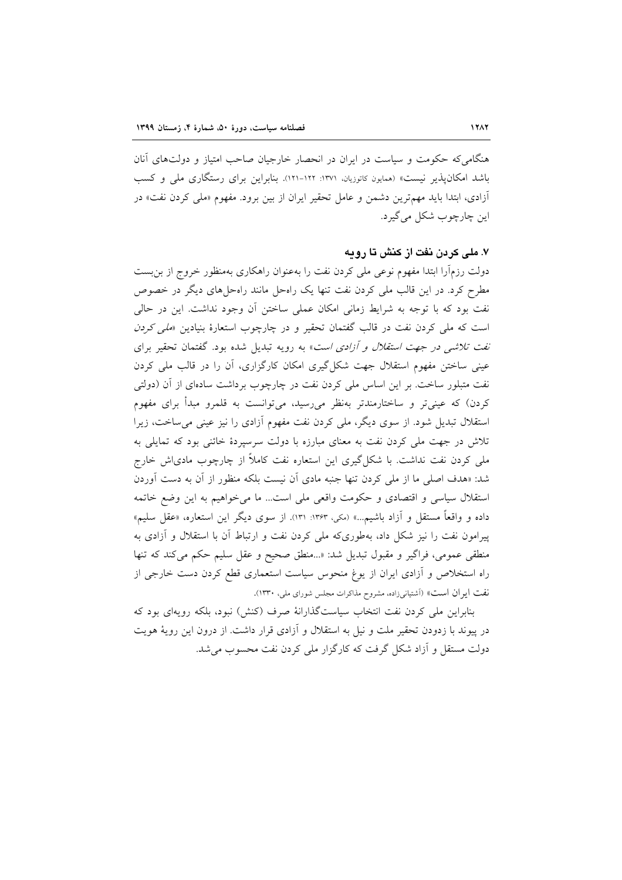هنگامیکه حکومت و سیاست در ایران در انحصار خارجیان صاحب امتیاز و دولتهای آنان باشد امکان پذیر نیست» (همایون کاتوزیان، ۱۳۷۱-۱۲۱). بنابراین برای رستگاری ملی و کسب آزادی، ابتدا باید مهمترین دشمن و عامل تحقیر ایران از بین برود. مفهوم «مل<sub>ی</sub> کردن نفت» در این چارچوب شکل می گیرد.

## ۷. ملی کردن نفت از کنش تا رویه

دولت رزمآرا ابتدا مفهوم نوعی ملی کردن نفت را بهعنوان راهکاری بهمنظور خروج از بن بست مطرح کرد. در این قالب ملی کردن نفت تنها یک راهحل مانند راهحلهای دیگر در خصوص نفت بود که با توجه به شرایط زمانی امکان عملی ساختن اَن وجود نداشت. این در حالی است که ملی کردن نفت در قالب گفتمان تحقیر و در چارچوب استعارهٔ بنیادین «*ملی کردن نفت تلاشی در جهت استقلال و آزادی است*» به رویه تبدیل شده بود. گفتمان تحقیر برای عینی ساختن مفهوم استقلال جهت شکل گیری امکان کارگزاری، آن را در قالب ملی کردن نفت متبلور ساخت. بر این اساس ملی کردن نفت در چارچوب برداشت سادهای از آن (دولتی کردن) که عینیتر و ساختارمندتر بهنظر میرسید، میتوانست به قلمرو مبدأ برای مفهوم استقلال تبدیل شود. از سوی دیگر، ملی کردن نفت مفهوم آزادی را نیز عینی می ساخت، زیرا تلاش در جهت ملی کردن نفت به معنای مبارزه با دولت سرسیردهٔ خائنی بود که تمایلی به ملی کردن نفت نداشت. با شکل گیری این استعاره نفت کاملاً از چارچوب مادیاش خارج شد: «هدف اصلی ما از ملی کردن تنها جنبه مادی آن نیست بلکه منظور از آن به دست آوردن استقلال سیاسی و اقتصادی و حکومت واقعی ملی است... ما می خواهیم به این وضع خاتمه داده و واقعاً مستقل و أزاد باشيم...» (مكي، ١٣۶٣: ١٣١). از سوى ديگر اين استعاره، «عقل سليم» پیرامون نفت را نیز شکل داد، بهطوریکه ملی کردن نفت و ارتباط آن با استقلال و آزادی به منطقی عمومی، فراگیر و مقبول تبدیل شد: «...منطق صحیح و عقل سلیم حکم میکند که تنها راه استخلاص و آزادی ایران از یوغ منحوس سیاست استعماری قطع کردن دست خارجی از نفت ايران است» (آشتيانيزاده، مشروح مذاكرات مجلس شوراي ملي، ١٣٣٠).

بنابراین ملی کردن نفت انتخاب سیاستگذارانهٔ صرف (کنش) نبود، بلکه رویهای بود که در پیوند با زدودن تحقیر ملت و نیل به استقلال و آزادی قرار داشت. از درون این رویهٔ هویت دولت مستقل و آزاد شکل گرفت که کارگزار ملی کردن نفت محسوب می شد.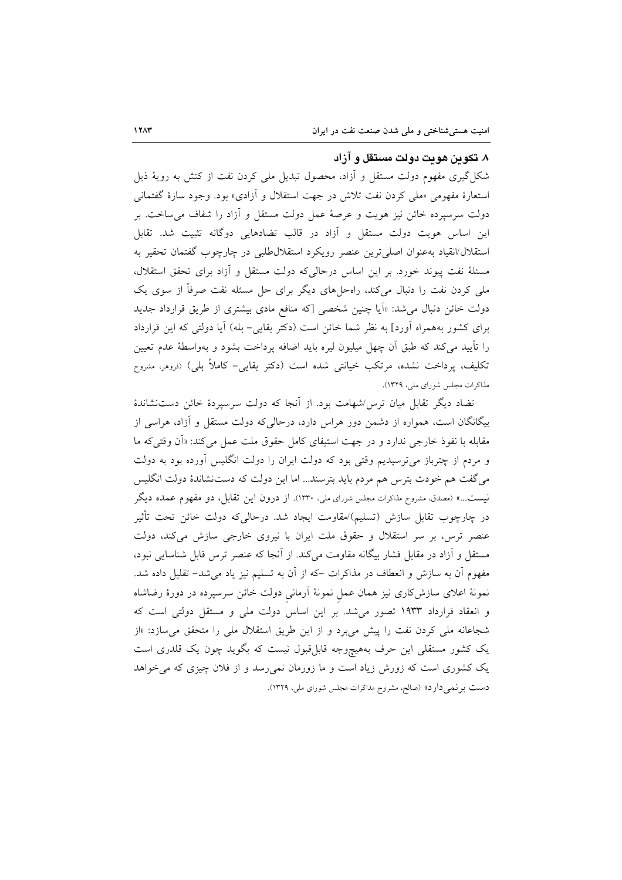#### ۸. تکوین هویت دولت مستقل و آزاد

شکل گیری مفهوم دولت مستقل و آزاد، محصول تبدیل ملی کردن نفت از کنش به رویهٔ ذیل استعارهٔ مفهومی «ملی کردن نفت تلاش در جهت استقلال و آزادی» بود. وجود سازهٔ گفتمانی دولت سرسیرده خائن نیز هویت و عرصهٔ عمل دولت مستقل و آزاد را شفاف می ساخت. بر این اساس هویت دولت مستقل و آزاد در قالب تضادهایی دوگانه تثبیت شد. تقابل استقلال/انقیاد بهعنوان اصلی ترین عنصر رویکرد استقلال طلبی در چارچوب گفتمان تحقیر به مسئلهٔ نفت پیوند خورد. بر این اساس درحالی که دولت مستقل و آزاد برای تحقق استقلال، ملی کردن نفت را دنبال میکند، راهحلهای دیگر برای حل مسئله نفت صرفاً از سوی یک دولت خائن دنبال می شد: «اَیا چنین شخصی [که منافع مادی بیشتری از طریق قرارداد جدید برای کشور بههمراه آورد] به نظر شما خائن است (دکتر بقایی-بله) آیا دولتی که این قرارداد را تأييد مىكند كه طبق آن چهل ميليون ليره بايد اضافه پرداخت بشود و بهواسطهٔ عدم تعيين تکلیف، پرداخت نشده، مرتکب خیانتی شده است (دکتر بقایی– کاملاً بلی) (فروهر، مشروح مذاکرات مجلس شورای ملی، ۱۳۲۹).

تضاد دیگر تقابل میان ترس/شهامت بود. از آنجا که دولت سرسپردهٔ خائن دستنشاندهٔ بیگانگان است، همواره از دشمن دور هراس دارد، درحالیکه دولت مستقل و آزاد، هراسی از مقابله با نفوذ خارجی ندارد و در جهت استیفای کامل حقوق ملت عمل می کند: «آن وقتی که ما و مردم از چترباز میترسیدیم وقتی بود که دولت ایران را دولت انگلیس آورده بود به دولت میگفت هم خودت بترس هم مردم باید بترسند… اما این دولت که دستنشاندهٔ دولت انگلیس نیست...» (مصدق، مشروح مذاکرات مجلس شورای ملی، ۱۳۳۰). از درون این تقابل، دو مفهوم عمده دیگر در چارچوب تقابل سازش (تسلیم)/مقاومت ایجاد شد. درحالی6د دولت خائن تحت تأثیر عنصر ترس، بر سر استقلال و حقوق ملت ایران با نیروی خارجی سازش میکند، دولت مستقل و آزاد در مقابل فشار بیگانه مقاومت میکند. از آنجا که عنصر ترس قابل شناسایی نبود، مفهوم أن به سازش و انعطاف در مذاکرات –که از اَن به تسلیم نیز یاد میشد– تقلیل داده شد. نمونهٔ اعلای سازشکاری نیز همان عمل نمونهٔ آرمانی دولت خائن سرسپرده در دورهٔ رضاشاه و انعقاد قرارداد ۱۹۳۳ تصور می شد. بر این اساس دولت ملی و مستقل دولتی است که شجاعانه ملّی کردن نفت را پیش میبرد و از این طریق استقلال ملّی را متحقق میسازد: «از یک کشور مستقلی این حرف بههیچوجه قابلِ قبول نیست که بگوید چون یک قلدری است یک کشوری است که زورش زیاد است و ما زورمان نمی رسد و از فلان چیزی که می خواهد دست برنمی دارد» (صالح، مشروح مذاکرات مجلس شورای ملی، ۱۳۲۹).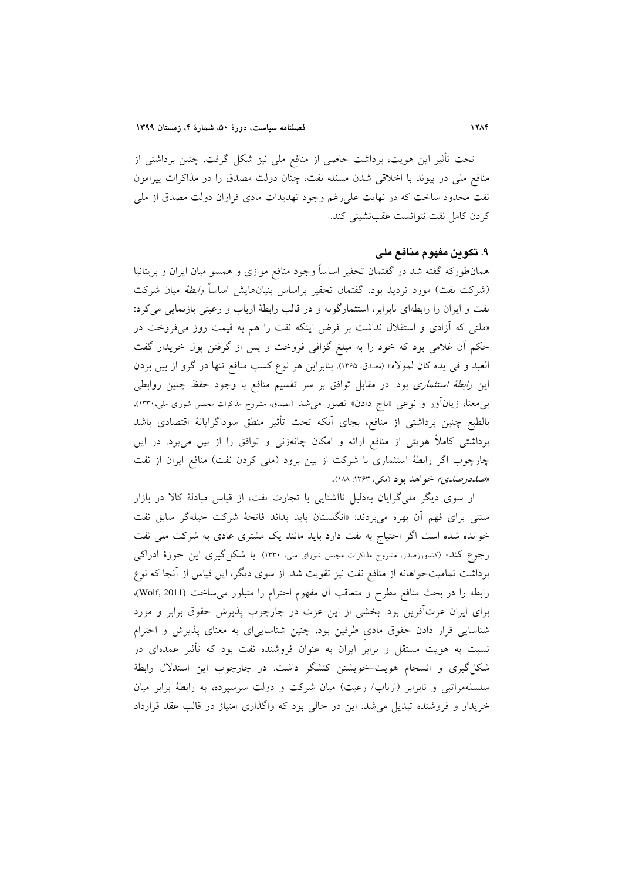تحت تأثیر این هویت، برداشت خاصی از منافع ملی نیز شکل گرفت. چنین برداشتی از منافع ملي در پيوند با اخلاقي شدن مسئله نفت، چنان دولت مصدق را در مذاكرات پيرامون نفت محدود ساخت که در نهایت علی(غم وجود تهدیدات مادی فراوان دولت مصدق از ملی كردن كامل نفت نتوانست عقب نشيني كند.

#### ۹. تكوين مفهوم منافع ملي

همان طورکه گفته شد در گفتمان تحقیر اساساً وجود منافع موازی و همسو میان ایران و بریتانیا (شرکت نفت) مورد تردید بود. گفتمان تحقیر براساس بنیانهایش اساسا*ً رابطهٔ می*ان شرکت نفت و ایران را رابطهای نابرابر، استثمارگونه و در قالب رابطهٔ ارباب و رعیتی بازنمایی می کرد: «ملتی که آزادی و استقلال نداشت بر فرض اینکه نفت را هم به قیمت روز میفروخت در حکم آن غلامی بود که خود را به مبلغ گزافی فروخت و پس از گرفتن پول خریدار گفت العبد و في يده كان لمولاه» (مصدق، ١٣۶۵). بنابراين هر نوع كسب منافع تنها در گرو از بين بردن این *رابطهٔ استثماری* بود. در مقابل توافق بر سر تقسیم منافع با وجود حفظ چنین روابطی بی۵هغا، زیانآور و نوعی «باج دادن» تصور میشد (مصدق، مشروح مذاکرات مجلس شورای ملی،۱۳۳۰). بالطبع چنین برداشتی از منافع، بجای أنکه تحت تأثیر منطق سوداگرایانهٔ اقتصادی باشد برداشتی کاملاً هویتی از منافع ارائه و امکان چانهزنی و توافق را از بین می,برد. در این چارچوب اگر رابطهٔ استثماری با شرکت از بین برود (ملی کردن نفت) منافع ایران از نفت «ص*در صدي»* خواهد بود (مکي، ۱۳۶۳: ۱۸۸).

از سوی دیگر ملی گرایان بهدلیل ناآشنایی با تجارت نفت، از قیاس مبادلهٔ کالا در بازار سنتی برای فهم آن بهره میبردند: «انگلستان باید بداند فاتحهٔ شرکت حیلهگر سابق نفت خوانده شده است اگر احتیاج به نفت دارد باید مانند یک مشتری عادی به شرکت ملی نفت رجوع كند» (كشاورزصدر، مشروح مذاكرات مجلس شوراى ملي، ١٣٣٠). با شكل گيرى اين حوزهٔ ادراكى برداشت تمامیتخواهانه از منافع نفت نیز تقویت شد. از سوی دیگر، این قیاس از آنجا که نوع رابطه را در بحث منافع مطرح و متعاقب أن مفهوم احترام را متبلور مي ساخت (Wolf, 2011). برای ایران عزتآفرین بود. بخشی از این عزت در چارچوب پذیرش حقوق برابر و مورد شناسایی قرار دادن حقوق مادی طرفین بود. چنین شناساییای به معنای پذیرش و احترام نسبت به هویت مستقل و برابر ایران به عنوان فروشنده نفت بود که تأثیر عمدهای در شکل گیری و انسجام هویت–خویشتن کنشگر داشت. در چارچوب این استدلال رابطهٔ سلسلهمراتبی و نابرابر (ارباب/ رعیت) میان شرکت و دولت سرسپرده، به رابطهٔ برابر میان خریدار و فروشنده تبدیل می شد. این در حالی بود که واگذاری امتیاز در قالب عقد قرارداد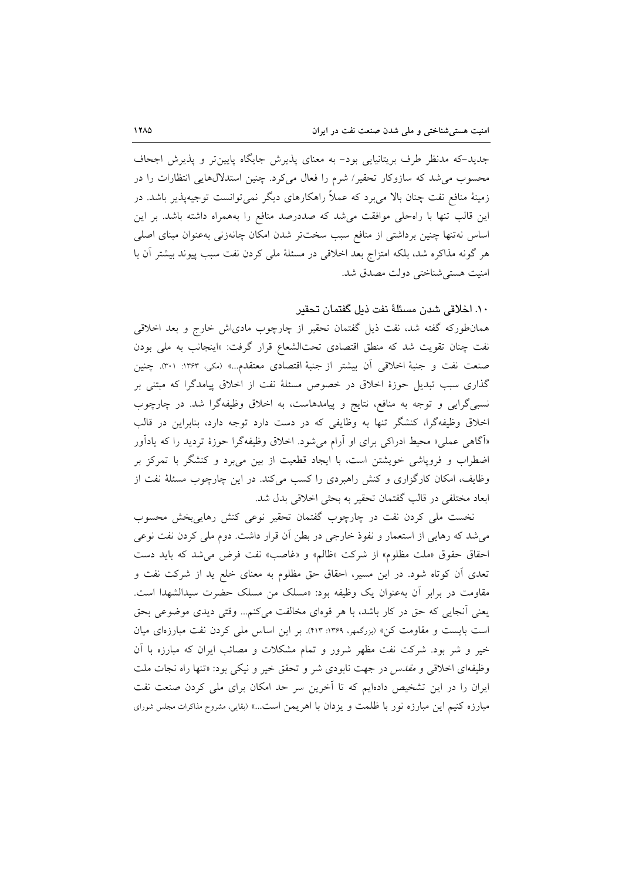جدید-که مدنظر طرف بریتانیایی بود- به معنای پذیرش جایگاه پایین تر و پذیرش اجحاف محسوب می شد که سازوکار تحقیر / شرم را فعال می کرد. چنین استدلالهایی انتظارات را در زمینهٔ منافع نفت چنان بالا میبرد که عملاً راهکارهای دیگر نمیتوانست توجیهپذیر باشد. در این قالب تنها با راهحلی موافقت میشد که صددرصد منافع را بههمراه داشته باشد. بر این اساس نهتنها چنین برداشتی از منافع سبب سختتر شدن امکان چانهزنی بهعنوان مبنای اصلی هر گونه مذاکره شد، بلکه امتزاج بعد اخلاقی در مسئلهٔ ملی کردن نفت سبب پیوند بیشتر آن با امنيت هستي شناختي دولت مصدق شد.

# ١٠. اخلاقی شدن مسئلهٔ نفت ذیل گفتمان تحقیر

همانطورکه گفته شد، نفت ذیل گفتمان تحقیر از چارچوب مادیاش خارج و بعد اخلاقی نفت چنان تقویت شد که منطق اقتصادی تحتالشعاع قرار گرفت: «اینجانب به مل<sub>ی</sub> بودن صنعت نفت و جنبهٔ اخلاقی اَن بیشتر از جنبهٔ اقتصادی معتقدم…» (مکی، ۱۳۶۳: ۳۰۱). چنین گذاری سبب تبدیل حوزهٔ اخلاق در خصوص مسئلهٔ نفت از اخلاق پیامدگرا که مبتنی بر نسبیگرایی و توجه به منافع، نتایج و پیامدهاست، به اخلاق وظیفهگرا شد. در چارچوب اخلاق وظیفهگرا، کنشگر تنها به وظایفی که در دست دارد توجه دارد، بنابراین در قالب «آگاهی عملی» محیط ادراکی برای او آرام میشود. اخلاق وظیفهگرا حوزهٔ تردید را که یادآور اضطراب و فروپاشی خویشتن است، با ایجاد قطعیت از بین میبرد و کنشگر با تمرکز بر وظایف، امکان کارگزاری و کنش راهبردی را کسب میکند. در این چارچوب مسئلهٔ نفت از ابعاد مختلفى در قالب گفتمان تحقير به بحثى اخلاقى بدل شد.

نخست ملی کردن نفت در چارچوب گفتمان تحقیر نوعی کنش رهاییبخش محسوب میشد که رهایی از استعمار و نفوذ خارجی در بطن آن قرار داشت. دوم ملی کردن نفت نوعی احقاق حقوق «ملت مظلوم» از شركت «ظالم» و «غاصب» نفت فرض مي شد كه بايد دست تعدی أن کوتاه شود. در این مسیر، احقاق حق مظلوم به معنای خلع ید از شرکت نفت و مقاومت در برابر أن بهعنوان يک وظيفه بود: «مسلک من مسلک حضرت سيدالشهدا است. يعني أنجايي كه حق در كار باشد، با هر قوهاي مخالفت مي كنم... وقتي ديدي موضوعي بحق است بایست و مقاومت کن» (بررگمهر، ۱۳۶۹: ۴۱۳). بر این اساس ملی کردن نفت مبارزهای میان خیر و شر بود. شرکت نفت مظهر شرور و تمام مشکلات و مصائب ایران که مبارزه با آن وظیفهای اخلاقی و *مقدس* در جهت نابودی شر و تحقق خیر و نیکی بود: «تنها راه نجات ملت ایران را در این تشخیص دادهایم که تا آخرین سر حد امکان برای ملی کردن صنعت نفت مبارزه كنيم اين مبارزه نور با ظلمت و يزدان با اهريمن است...» (بقايي، مشروح مذاكرات مجلس شوراى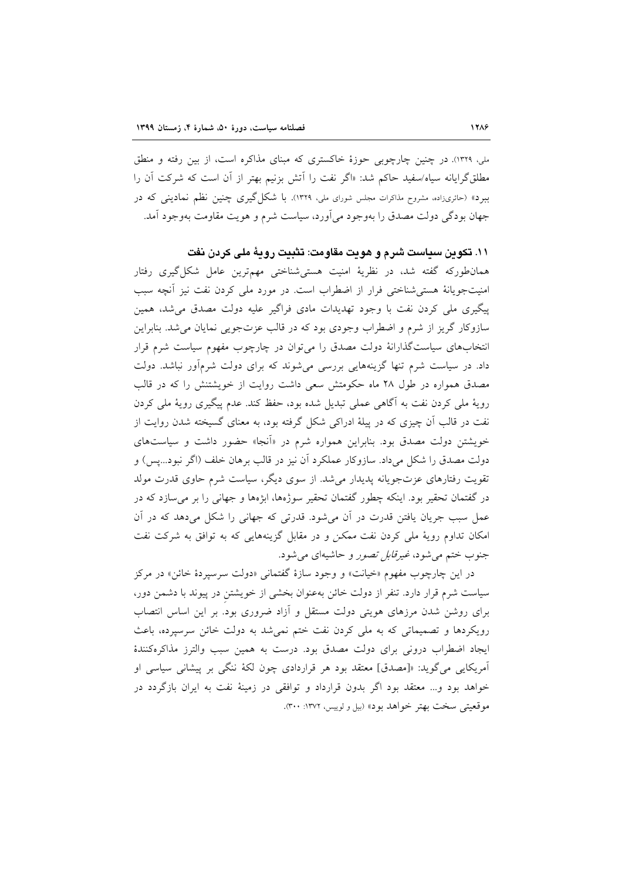ملي، ١٣٢٩). در چنين چارچوبي حوزهٔ خاکستري که مبناي مذاکره است، از بين رفته و منطق مطلق گرایانه سپاه/سفید حاکم شد: «اگر نفت را اَتش بزنیم بهتر از آن است که شرکت آن را ببرد» (حائری;اده، مشروح مذاکرات مجلس شورای ملی، ۱۳۲۹). با شکل گیری چنین نظم نمادینی که در جهان بودگی دولت مصدق را بهوجود می آورد، سیاست شرم و هویت مقاومت بهوجود آمد.

# ١١. تكوين سياست شرم و هويت مقاومت: تثبيت رويهٔ ملي كردن نفت

همان طورکه گفته شد، در نظریهٔ امنیت هستی شناختی مهمترین عامل شکل گیری رفتار امنیتجویانهٔ هستی شناختی فرار از اضطراب است. در مورد ملی کردن نفت نیز أنچه سبب پیگیری ملی کردن نفت با وجود تهدیدات مادی فراگیر علیه دولت مصدق می شد، همین سازوکار گریز از شرم و اضطراب وجودی بود که در قالب عزتجویی نمایان می شد. بنابراین انتخابهای سیاستگذارانهٔ دولت مصدق را میتوان در چارچوب مفهوم سیاست شرم قرار داد. در سیاست شرم تنها گزینههایی بررسی می شوند که برای دولت شرمآور نباشد. دولت مصدق همواره در طول ۲۸ ماه حکومتش سعی داشت روایت از خویشتنش را که در قالب رویهٔ ملی کردن نفت به آگاهی عملی تبدیل شده بود، حفظ کند. عدم پیگیری رویهٔ ملی کردن نفت در قالب آن چیزی که در پیلهٔ ادراکی شکل گرفته بود، به معنای گسیخته شدن روایت از خویشتن دولت مصدق بود. بنابراین همواره شرم در «آنجا» حضور داشت و سیاستهای دولت مصدق را شکل میداد. سازوکار عملکرد آن نیز در قالب برهان خلف (اگر نبود...پس) و تقویت رفتارهای عزتجویانه پدیدار می شد. از سوی دیگر، سیاست شرم حاوی قدرت مولد در گفتمان تحقیر بود. اینکه چطور گفتمان تحقیر سوژهها، ابژهها و جهانی را بر میسازد که در عمل سبب جریان یافتن قدرت در آن می شود. قدرتی که جهانی را شکل می دهد که در آن امکان تداوم رویهٔ ملی کردن نفت ممکن و در مقابل گزینههایی که به توافق به شرکت نفت جنوب ختم مي شود، *غيرقابل تصور* و حاشيهاي مي شود.

در این چارچوب مفهوم «خیانت» و وجود سازهٔ گفتمانی «دولت سرسپردهٔ خائن» در مرکز سیاست شرم قرار دارد. تنفر از دولت خائن بهعنوان بخشی از خویشتن در پیوند با دشمن دور، برای روشن شدن مرزهای هویتی دولت مستقل و آزاد ضروری بود. بر این اساس انتصاب رویکردها و تصمیماتی که به ملی کردن نفت ختم نمی شد به دولت خائن سرسپرده، باعث ایجاد اضطراب درونی برای دولت مصدق بود. درست به همین سبب والترز مذاکرهکنندهٔ آمریکایی میگوید: «[مصدق] معتقد بود هر قراردادی چون لکهٔ ننگی بر پیشانی سیاسی او خواهد بود و... معتقد بود اگر بدون قرارداد و توافقی در زمینهٔ نفت به ایران بازگردد در موقعيتي سخت بهتر خواهد بود» (بيل و لوييس، ١٣٧٢: ٣٠٠).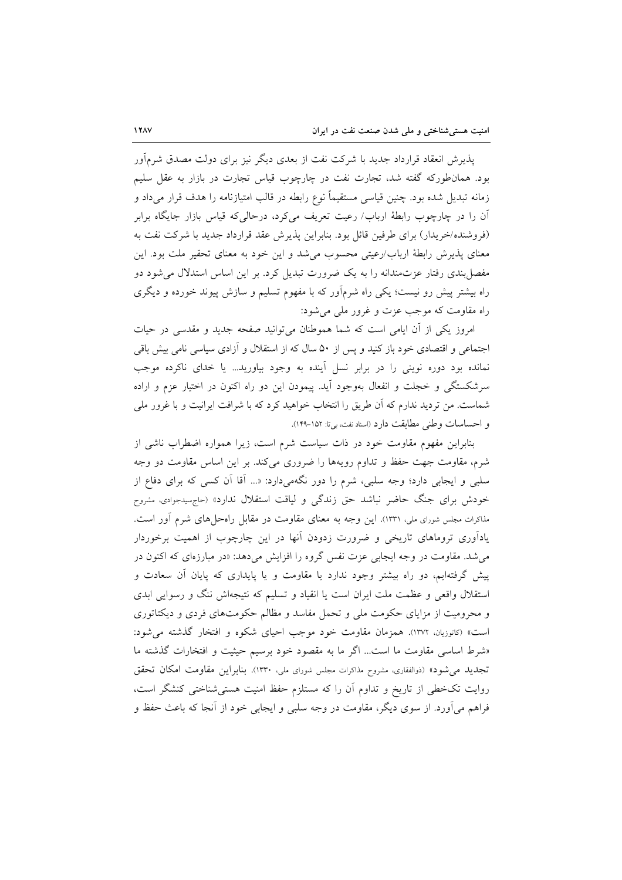پذیرش انعقاد قرارداد جدید با شرکت نفت از بعدی دیگر نیز برای دولت مصدق شرمآور بود. همانطورکه گفته شد، تجارت نفت در چارچوب قیاس تجارت در بازار به عقل سلیم زمانه تبدیل شده بود. چنین قیاسی مستقیماً نوع رابطه در قالب امتیازنامه را هدف قرار میداد و آن را در چارچوب رابطهٔ ارباب/ رعیت تعریف می¢د، درحالی که قیاس بازار جایگاه برابر (فروشنده/خریدار) برای طرفین قائل بود. بنابراین پذیرش عقد قرارداد جدید با شرکت نفت به معنای پذیرش رابطهٔ ارباب/رعیتی محسوب می شد و این خود به معنای تحقیر ملت بود. این مفصل بندی رفتار عزتمندانه را به یک ضرورت تبدیل کرد. بر این اساس استدلال می شود دو راه بیشتر پیش رو نیست؛ یکی راه شرمآور که با مفهوم تسلیم و سازش پیوند خورده و دیگری راه مقاومت كه موجب عزت و غرور ملي مي شود:

امروز یکی از آن ایامی است که شما هموطنان می توانید صفحه جدید و مقدسی در حیات اجتماعی و اقتصادی خود باز کنید و پس از ۵۰ سال که از استقلال و آزادی سیاسی نامی بیش باقی نمانده بود دوره نوینی را در برابر نسل اَینده به وجود بیاورید… یا خدای ناکرده موجب سرشکستگی و خجلت و انفعال بهوجود آید. پیمودن این دو راه اکنون در اختیار عزم و اراده شماست. من تردید ندارم که آن طریق را انتخاب خواهید کرد که با شرافت ایرانیت و با غرور ملی و احساسات وطني مطابقت دارد (اسناد نفت، بي تا: ١٥٢-١٢٩).

بنابراین مفهوم مقاومت خود در ذات سیاست شرم است، زیرا همواره اضطراب ناشی از شرم، مقاومت جهت حفظ و تداوم رویهها را ضروری میکند. بر این اساس مقاومت دو وجه سلبی و ایجابی دارد؛ وجه سلبی، شرم را دور نگهمیدارد: «... اَقا اَن کسی که برای دفاع از خودش برای جنگ حاضر نباشد حق زندگی و لیاقت استقلال ندارد» (حاجهسیدجوادی، مشروح مذاکرات مجلس شورای ملی، ۱۳۳۱). این وجه به معنای مقاومت در مقابل راهحلهای شرم آور است. یادآوری تروماهای تاریخی و ضرورت زدودن آنها در این چارچوب از اهمیت برخوردار می شد. مقاومت در وجه ایجابی عزت نفس گروه را افزایش می دهد: «در مبارزهای که اکنون در پیش گرفتهایم، دو راه بیشتر وجود ندارد یا مقاومت و یا پایداری که پایان آن سعادت و استقلال واقعی و عظمت ملت ایران است یا انقیاد و تسلیم که نتیجهاش ننگ و رسوایی ابدی و محرومیت از مزایای حکومت ملی و تحمل مفاسد و مظالم حکومتهای فردی و دیکتاتوری است» (كاتوزيان. ١٣٧٢). همزمان مقاومت خود موجب احياى شكوه و افتخار گذشته مى شود: «شرط اساسی مقاومت ما است... اگر ما به مقصود خود برسیم حیثیت و افتخارات گذشته ما تجدید می شود» (ذوالفقاری، مشروح مذاکرات مجلس شورای ملی، ۱۳۳۰). بنابر این مقاومت امکان تحقق روایت تکخطی از تاریخ و تداوم أن را که مستلزم حفظ امنیت هستی شناختی کنشگر است، فراهم می آورد. از سوی دیگر، مقاومت در وجه سلبی و ایجابی خود از آنجا که باعث حفظ و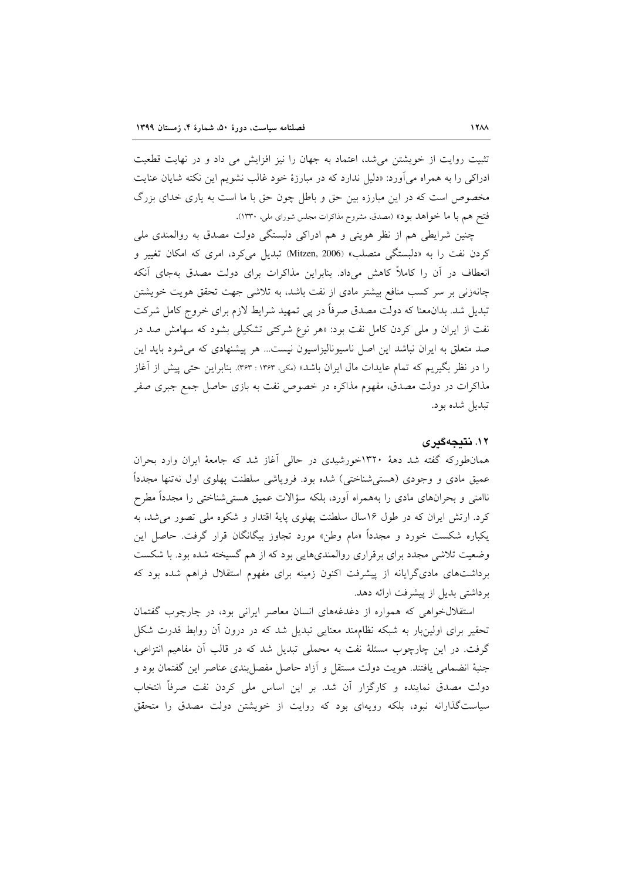تثبیت روایت از خویشتن می شد، اعتماد به جهان را نیز افزایش می داد و در نهایت قطعیت ادراکی را به همراه می آورد: «دلیل ندارد که در مبارزهٔ خود غالب نشویم این نکته شایان عنایت مخصوص است که در این مبارزه بین حق و باطل چون حق با ما است به یاری خدای بزرگ فتح هم با ما خواهد بود» (مصدق، مشروح مذاكرات مجلس شوراي ملي. ١٣٣٠).

چنین شرایطی هم از نظر هویتی و هم ادراکی دلبستگی دولت مصدق به روالمندی ملی کردن نفت را به «دلبستگی متصلب» Mitzen, 2006) تبدیل میکرد، امری که امکان تغییر و انعطاف در آن را کاملاً کاهش میداد. بنابراین مذاکرات برای دولت مصدق بهجای آنکه چانهزنی بر سر کسب منافع بیشتر مادی از نفت باشد، به تلاشی جهت تحقق هویت خویشتن تبدیل شد. بدان.معنا که دولت مصدق صرفاً در پی تمهید شرایط لازم برای خروج کامل شرکت نفت از ایران و ملی کردن کامل نفت بود: «هر نوع شرکتی تشکیلی بشود که سهامش صد در صد متعلق به ایران نباشد این اصل ناسیونالیزاسیون نیست... هر پیشنهادی که می شود باید این را در نظر بگیریم که تمام عایدات مال ایران باشد» (مکی، ۳۶۳ : ۳۶۳). بنابراین حتبی پیش از آغاز مذاکرات در دولت مصدق، مفهوم مذاکره در خصوص نفت به بازی حاصل جمع جبری صفر تبديل شده بود.

#### ۱۲. نتىجەگىرى

همان طورکه گفته شد دههٔ ۱۳۲۰خورشیدی در حالی آغاز شد که جامعهٔ ایران وارد بحران عمیق مادی و وجودی (هستی شناختی) شده بود. فروپاشی سلطنت پهلوی اول نهتنها مجدداً ناامنی و بحرانهای مادی را بههمراه آورد، بلکه سؤالات عمیق هستیشناختی را مجدداً مطرح کرد. ارتش ایران که در طول ۱۶سال سلطنت پهلوی پایهٔ اقتدار و شکوه ملی تصور می شد، به یکباره شکست خورد و مجدداً «مام وطن» مورد تجاوز بیگانگان قرار گرفت. حاصل این وضعیت تلاشی مجدد برای برقراری روالمندیهایی بود که از هم گسیخته شده بود. با شکست برداشتهای مادیگرایانه از پیشرفت اکنون زمینه برای مفهوم استقلال فراهم شده بود که برداشتی بدیل از پیشرفت ارائه دهد.

استقلالخواهی که همواره از دغدغههای انسان معاصر ایرانی بود، در چارچوب گفتمان تحقیر برای اولینِبار به شبکه نظامِمند معنایی تبدیل شد که در درون آن روابط قدرت شکل گرفت. در این چارچوب مسئلهٔ نفت به محملی تبدیل شد که در قالب آن مفاهیم انتزاعی، جنبهٔ انضمامی یافتند. هویت دولت مستقل و آزاد حاصل مفصل بندی عناصر این گفتمان بود و دولت مصدق نماینده و کارگزار آن شد. بر این اساس ملی کردن نفت صرفاً انتخاب سیاستگذارانه نبود، بلکه رویهای بود که روایت از خویشتن دولت مصدق را متحقق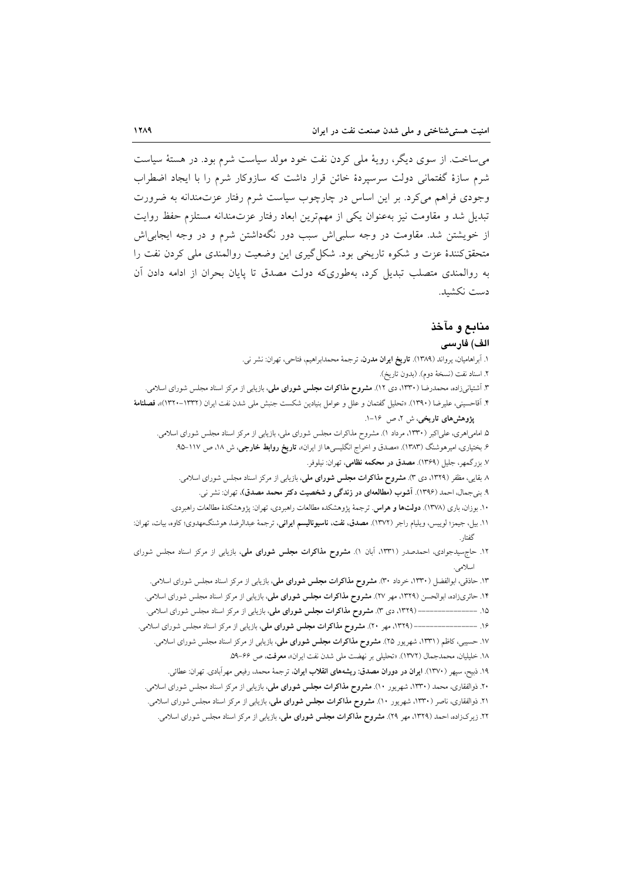می ساخت. از سوی دیگر، رویهٔ ملی کردن نفت خود مولد سیاست شرم بود. در هستهٔ سیاست شرم سازهٔ گفتمانی دولت سرسیردهٔ خائن قرار داشت که سازوکار شرم را با ایجاد اضطراب وجودی فراهم میکرد. بر این اساس در چارچوب سیاست شرم رفتار عزتمندانه به ضرورت تبدیل شد و مقاومت نیز بهعنوان یکی از مهم ترین ابعاد رفتار عزتمندانه مستلزم حفظ روایت از خویشتن شد. مقاومت در وجه سلبی اش سبب دور نگهداشتن شرم و در وجه ایجابی اش متحقق کنندهٔ عزت و شکوه تاریخی بود. شکل گیری این وضعیت روالمندی ملی کردن نفت را به روالمندی متصلب تبدیل کرد، بهطوریکه دولت مصدق تا پایان بحران از ادامه دادن آن دست نكشىد.

# منابع و مآخذ

#### الف) فارسى

۱. آبراهامیان، یرواند (۱۳۸۹). **تاریخ ایران مدرن**، ترجمهٔ محمدابراهیم، فتاحی، تهران: نشر نی. ٢. اسناد نفت (نسخة دوم). (بدون تاريخ). ۳. آشتیانیزاده، محمدرضا (۱۳۳۰، دی ۱۲). م**شروح مذاکرات مجلس شورای ملی**، بازیابی از مرکز اسناد مجلس شورای اسلامی. ۴. آقاحسینی، علیرضا (۱۳۹۰). «تحلیل گفتمان و علل و عوامل بنیادین شکست جنبش ملی شدن نفت ایران (۱۳۳۲–۱۳۲۰)»، **فصلنامهٔ** یژوهش های تاریخی، ش ۲، ص ۱۶–۱. ۵. امامی!هری، علی[کبر (۱۳۳۰، مرداد ۱). مشروح مذاکرات مجلس شورای ملی، بازیابی از مرکز اسناد مجلس شورای اسلامی. ۶. بختیاری، امیرهوشنگ (۱۳۸۳). «مصدق و اخراج انگلیسیها از ایران»، **تاریخ روابط خارجی**، ش ۱۸، ص ۱۱۷–۹۵.

۷. بزرگمهر، جلیل (۱۳۶۹). مصدق در محکمه نظامی، تهران: نیلوفر.

۸ بقایی، مظفر (۱۳۲۹، دی ۳). مشروح مذاکرات مجلس شورای ملی، بازیابی از مرکز اسناد مجلس شورای اسلامی.

- ۹. بنیجمال، احمد (۱۳۹۶). آشوب (مطالعهای در زندگی و شخصیت دکتر محمد مصدق)، تهران: نشر نی.
- ۱۰. بوزان، باری (۱۳۷۸). **دولتها و هراس**. ترجمهٔ پژوهشکده مطالعات راهبردی، تهران: پژوهشکدهٔ مطالعات راهبردی.
- ١١. بيل، جيمز؛ لوييس، ويليام راجر (١٣٧٢). مصدق، نفت، ناسيوناليسم ايراني، ترجمهٔ عبدالرضا، هوشنگ،هدوي؛ كاوه، بيات، تهران: گفتار
- ۱۲. حاجهسیدجوادی، احمدصدر (۱۳۳۱، آبان ۱). م<mark>شروح مذاکرات مجلس شورای ملی</mark>، بازیابی از مرکز اسناد مجلس شورای اسلامی.
	- ۱۳. حاذقی، ابوالفضل (۱۳۳۰، خرداد ۳۰). م**شروح مذاکرات مجلس شورای ملی**، بازیابی از مرکز اسناد مجلس شورای اسلامی.
	- ۱۴. حائریزاده، ابوالحسن (۱۳۲۹، مهر ۲۷). م**شروح مذاکرات مجلس شورای ملی**، بازیابی از مرکز اسناد مجلس شورای اسلامی.
	- ۱۵. ------------------- (۱۳۲۹، دی ۳). مشروح مذاکرات مجلس شورای ملی، بازیابی از مرکز اسناد مجلس شورای اسلامی.

۱۷. حسیبی، کاظم (۱۳۳۱، شهریور ۲۵). مشروح مذاکرات مجلس شورای ملی، بازیابی از مرکز اسناد مجلس شورای اسلامی.

- ١٨. خليليان، محمدجمال (١٣٧٢). «تحليلي بر نهضت ملي شدن نفت ايران»، معرفت، ص ۶۶-٥٩.
- ١٩. ذبيح، سيهر (١٣٧٠). **ايران در دوران مصدق: ريشههاي انقلاب ايران**، ترجمهٔ محمد، رفيعي مهرآبادي. تهران: عطائي.
- ۲۰. ذوالفقاری، محمد (۱۳۳۰، شهریور ۱۰). مشروح مذاکرات مجلس شورای ملی، بازیابی از مرکز اسناد مجلس شورای اسلامی.
- ۲۱. ذوالفقاری، ناصر (۱۳۳۰، شهریور ۱۰). **مشروح مذاکرات مجلس شورای ملی**، بازیابی از مرکز اسناد مجلس شورای اسلامی.
- ۲۲. زیرک(اده، احمد (۱۳۲۹، مهر ۲۹). م**شروح مذاکرات مجلس شورای ملی**، بازیابی از مرکز اسناد مجلس شورای اسلامی.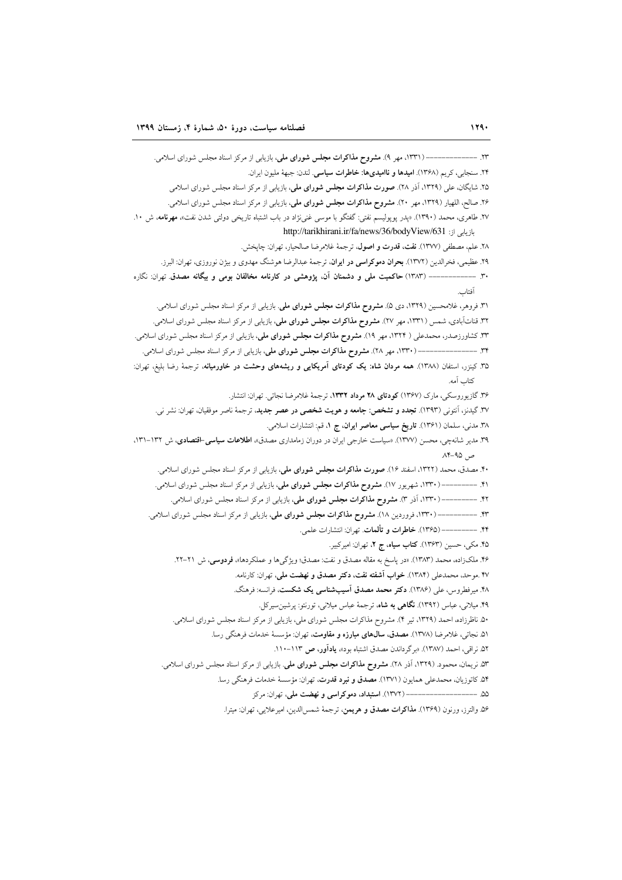------ (۱۳۳۱، مهر ۹). مشروح مذاکرات مجلس شورای ملی، بازیابی از مرکز اسناد مجلس شورای اسلامی.  $-1$ ٢۴. سنجابي، كريم (١٣۶٨). اميدها و نااميديها: خاطرات سياسي. لندن: جبهة مليون ايران. ۲۵. شایگان، علی (۱۳۲۹، آذر ۲۸). صورت مذاکرات مجلس شورای ملی، بازیابی از مرکز اسناد مجلس شورای اسلامی ۲۶. صالح، اللهيار (۱۳۲۹، مهر ۲۰). مشروح مذاكرات مجلس شوراي ملي، بازيابي از مركز اسناد مجلس شوراي اسلامي. ۲۷. طاهری، محمد (۱۳۹۰). «پدر پوپولیسم نفتی: گفتگو با موسی غنیiژاد در باب اشتباه تاریخی دولتی شدن نفت»، مهرنامه، ش ۱۰. pttp://tarikhirani.ir/fa/news/36/bodyView/631 .jl ٢٨. علم، مصطفى (١٣٧٧). نفت، قدرت و اصول، ترجمة غلامرضا صالحيار، تهران: چايخش. ۲۹. عظیمی، فخرالدین (۱۳۷۲). بحران دموکراسی در ایران، ترجمهٔ عبدالرضا هوشنگ مهدوی و بیژن نوروزی، تهران: البرز. ۳۰ ------------- (۱۳۸۳) حاکمیت ملی و دشمنان آن، پژوهشی در کارنامه مخالفان بومی و بیگانه مصدق تهران: نگاره آفتاب ٣١. فروهر، غلامحسین (١٣٢٩، دی ۵). م**شروح مذاکرات مجلس شورای ملی**. بازیابی از مرکز اسناد مجلس شورای اسلامی. ۳۲. قناتآبادی، شمس (۱۳۳۱، مهر ۲۷). **مشروح مذاکرات مجلس شورای ملی**، بازیابی از مرکز اسناد مجلس شورای اسلامی. ۳۳. کشاورزصدر، محمدعلی ( ۱۳۲۴، مهر ۱۹). **مشروح مذاکرات مجلس شورای ملی**، بازیابی از مرکز اسناد مجلس شورای اسلامی. ۳۴. \_\_\_\_\_\_\_\_\_\_\_\_\_\_(۱۳۳۰، مهر ۲۸). **مشروح مذاکرات مجلس شورای ملی**، بازیابی از مرکز اسناد مجلس شورای اسلامی. ۳۵. کینزر، استفان (۱۳۸۸). همه مردان شاه: یک کودتای آمریکایی و ریشههای وحشت در خاورمیانه، ترجمهٔ رضا بلیغ، تهران: كتاب آمه. ۳۶. گازیوروسکی، مارک (۱۳۶۷) کودتای ۲۸ مرداد ۱۳۳۲، ترجمهٔ غلامرضا نجاتی. تهران: انتشار. ۳۷. گیدنز، آنتونی (۱۳۹۳). **تجدد و تشخص: جامعه و هویت شخصی در عصر جدید**، ترجمهٔ ناصر موفقیان، تهران: نشر نی. ۳۸. مدنی، سلمان (۱۳۶۱). تاریخ سیاسی معاصر ایران، ج ۱، قم: انتشارات اسلامی. ۳۹. مدیر شانهچی، محسن (۱۳۷۷). «سیاست خارجی ایران در دوران زمامداری مصدق»، اطلاعات **سیاسی-اقتصادی**، ش ۱۳۲–۱۳۱،  $A^* - 90$ ۴۰. مصدق، محمد (۱۳۲۲، اسفند ۱۶). صورت مذاکرات مجلس شورای ملی، بازیابی از مرکز اسناد مجلس شورای اسلامی. ۴۱. ––––––––– (۱۳۳۰، شهریور ۱۷). **مشروح مذاکرات مجلس شورای ملی**، بازیابی از مرکز اسناد مجلس شورای اسلامی. --- (۱۳۳۰، آذر ۳). مشروح مذاکرات مجلس شورای ملی، بازیابی از مرکز اسناد مجلس شورای اسلامی.  $-17$ . ۴۳. ----------- (۱۳۳۰، فروردین ۱۸). مشروح مذاکرات مجلس شورای ملی، بازیابی از مرکز اسناد مجلس شورای اسلامی. ۴۴. ---------- (۱۳۶۵). خاطرات و تألمات. تهران: انتشارات علمي. ۴۵. مکی، حسین (۱۳۶۳). کتاب سیاه، ج ۲، تهران: امیرکبیر. ۴۶. ملکزاده، محمد (۱۳۸۳). «در ياسخ به مقاله مصدق و نفت: مصدق؛ ويژگي ها و عملکردها»، فردوسي، ش ۲۱-۲۲. ۴۷ .موحد، محمدعلی (۱۳۸۴). خواب آشفته نفت، دکتر مصدق و نهضت ملی، تهران: کارنامه. ۴۸. میرفطروس، علی (۱۳۸۶). **دکتر محمد مصدق آسیبشناسی یک شکست**، فرانسه: فرهنگ. ۴۹. میلانی، عباس (۱۳۹۲). **نگاهی به شاه**، ترجمهٔ عباس میلانی، تورنتو: پرشین سیرکل. ۵۰. ناظرزاده، احمد (۱۳۲۹، تیر ۴). مشروح مذاکرات مجلس شورای ملی، بازیابی از مرکز اسناد مجلس شورای اسلامی. ۵۱ نجاتی، غلامرضا (۱۳۷۸). مصدق، سال های مبارزه و مقاومت، تهران: مؤسسهٔ خدمات فرهنگی رسا. ۵۲. نراقی، احمد (۱۳۸۷). «برگرداندن مصدق اشتباه بود»، یادآور، ص ۱۱۳-۱۱۰. ۵۳ نریمان، محمود. (۱۳۲۹، آذر ۲۸). م**شروح مذاکرات مجلس شورای ملی**. بازیابی از مرکز اسناد مجلس شورای اسلامی. ۵۴ کاتوزیان، محمدعلی همایون (۱۳۷۱). مصدق و نبرد قدرت، تهران: مؤسسهٔ خدمات فرهنگی رسا. ۵۶ والترز، ورنون (۱۳۶۹). مذاکرات مصدق و هریمن، ترجمهٔ شمس الدین، امیرعلایی، تهران: میترا.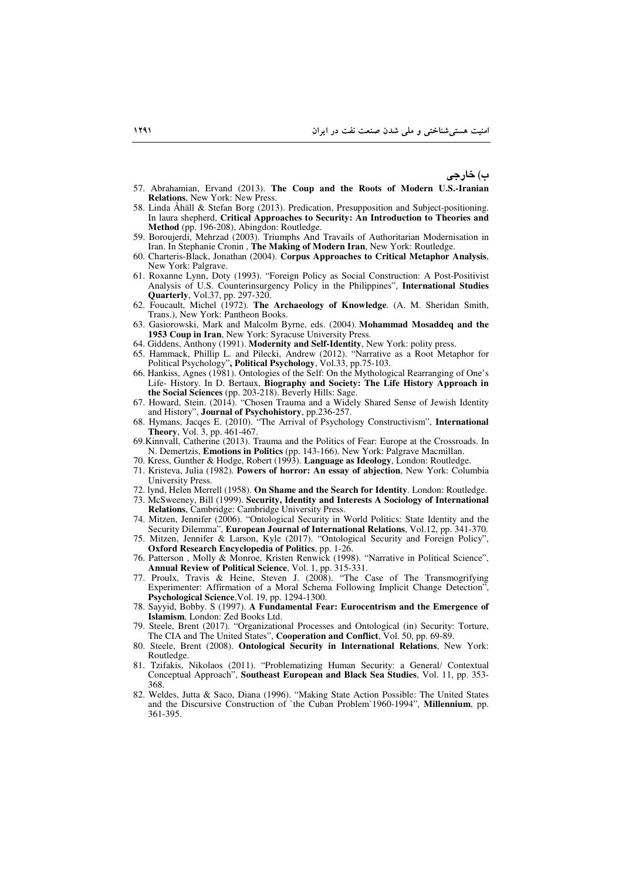ب) خارجی

- 57. Abrahamian, Ervand (2013). **The Coup and the Roots of Modern U.S.-Iranian Relations**, New York: New Press.
- 58. Linda Åhäll & Stefan Borg (2013). Predication, Presupposition and Subject-positioning. In laura shepherd, **Critical Approaches to Security: An Introduction to Theories and Method** (pp. 196-208), Abingdon: Routledge.
- 59. Boroujerdi, Mehrzad (2003). Triumphs And Travails of Authoritarian Modernisation in Iran. In Stephanie Cronin , **The Making of Modern Iran**, New York: Routledge.
- 60. Charteris-Black, Jonathan (2004). **Corpus Approaches to Critical Metaphor Analysis**, New York: Palgrave.
- 61. Roxanne Lynn, Doty (1993). "Foreign Policy as Social Construction: A Post-Positivist Analysis of U.S. Counterinsurgency Policy in the Philippines", **International Studies Quarterly**, Vol.37, pp. 297-320.
- 62. Foucault, Michel (1972). **The Archaeology of Knowledge**. (A. M. Sheridan Smith, Trans.), New York: Pantheon Books.
- 63. Gasiorowski, Mark and Malcolm Byrne, eds. (2004). **Mohammad Mosaddeq and the 1953 Coup in Iran**, New York: Syracuse University Press.
- 64. Giddens, Anthony (1991). **Modernity and Self-Identity**, New York: polity press.
- 65. Hammack, Phillip L. and Pilecki, Andrew (2012). "Narrative as a Root Metaphor for Political Psychology"**, Political Psychology**, Vol.33, pp.75-103.
- 66. Hankiss, Agnes (1981). Ontologies of the Self: On the Mythological Rearranging of One's Life- History. In D. Bertaux, **Biography and Society: The Life History Approach in the Social Sciences** (pp. 203-218). Beverly Hills: Sage.
- 67. Howard, Stein. (2014). "Chosen Trauma and a Widely Shared Sense of Jewish Identity and History", **Journal of Psychohistory**, pp.236-257.
- 68. Hymans, Jacqes E. (2010). "The Arrival of Psychology Constructivism", **International Theory**, Vol. 3, pp. 461-467.
- 69.Kinnvall, Catherine (2013). Trauma and the Politics of Fear: Europe at the Crossroads. In N. Demertzis, **Emotions in Politics** (pp. 143-166). New York: Palgrave Macmillan.
- 70. Kress, Gunther & Hodge, Robert (1993). **Language as Ideology**, London: Routledge.
- 71. Kristeva, Julia (1982). **Powers of horror: An essay of abjection**, New York: Columbia University Press.
- 72. lynd, Helen Merrell (1958). **On Shame and the Search for Identity**. London: Routledge.
- 73. McSweeney, Bill (1999). **Security, Identity and Interests A Sociology of International Relations**, Cambridge: Cambridge University Press.
- 74. Mitzen, Jennifer (2006). "Ontological Security in World Politics: State Identity and the Security Dilemma", **European Journal of International Relations**, Vol.12, pp. 341-370.
- 75. Mitzen, Jennifer & Larson, Kyle (2017). "Ontological Security and Foreign Policy", **Oxford Research Encyclopedia of Politics**, pp. 1-26.
- 76. Patterson , Molly & Monroe, Kristen Renwick (1998). "Narrative in Political Science", **Annual Review of Political Science**, Vol. 1, pp. 315-331.
- 77. Proulx, Travis & Heine, Steven J. (2008). "The Case of The Transmogrifying Experimenter: Affirmation of a Moral Schema Following Implicit Change Detection", **Psychological Science**,Vol. 19, pp. 1294-1300.
- 78. Sayyid, Bobby. S (1997). **A Fundamental Fear: Eurocentrism and the Emergence of Islamism**, London: Zed Books Ltd.
- 79. Steele, Brent (2017). "Organizational Processes and Ontological (in) Security: Torture, The CIA and The United States", **Cooperation and Conflict**, Vol. 50, pp. 69-89.
- 80. Steele, Brent (2008). **Ontological Security in International Relations**, New York: Routledge.
- 81. Tzifakis, Nikolaos (2011). "Problematizing Human Security: a General/ Contextual Conceptual Approach", **Southeast European and Black Sea Studies**, Vol. 11, pp. 353- 368.
- 82. Weldes, Jutta & Saco, Diana (1996). "Making State Action Possible: The United States and the Discursive Construction of `the Cuban Problem`1960-1994", **Millennium**, pp. 361-395.